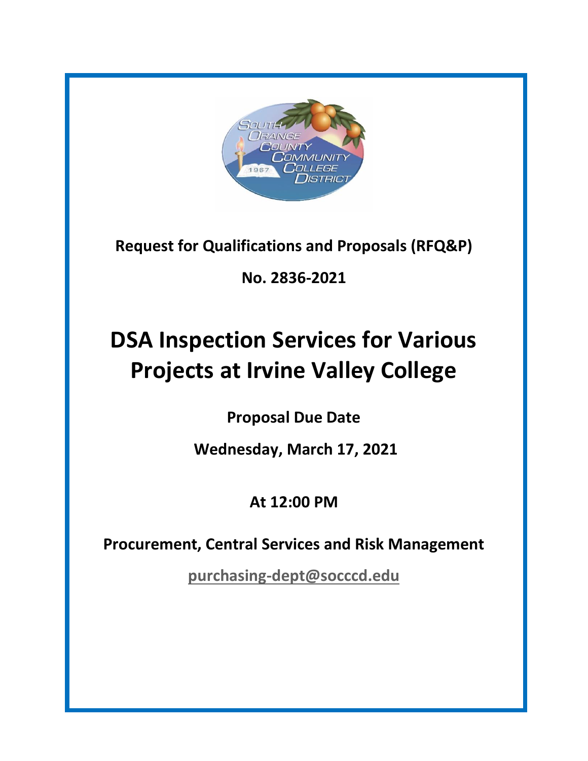

**Request for Qualifications and Proposals (RFQ&P)**

**No. 2836-2021**

# **DSA Inspection Services for Various Projects at Irvine Valley College**

**Proposal Due Date**

**Wednesday, March 17, 2021**

## **At 12:00 PM**

**Procurement, Central Services and Risk Management**

**[purchasing-dept@socccd.edu](mailto:purchasing-dept@socccd.edu)**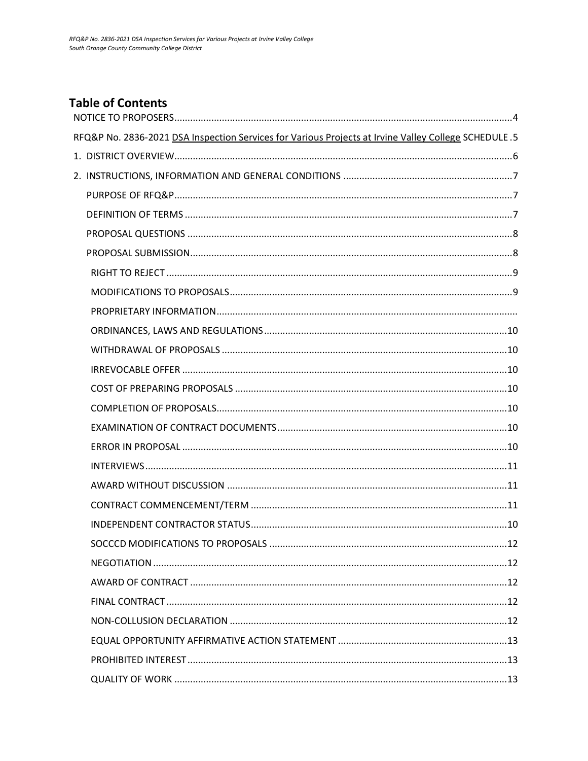### **Table of Contents**

| RFQ&P No. 2836-2021 DSA Inspection Services for Various Projects at Irvine Valley College SCHEDULE.5 |  |
|------------------------------------------------------------------------------------------------------|--|
|                                                                                                      |  |
|                                                                                                      |  |
|                                                                                                      |  |
|                                                                                                      |  |
|                                                                                                      |  |
|                                                                                                      |  |
|                                                                                                      |  |
|                                                                                                      |  |
|                                                                                                      |  |
|                                                                                                      |  |
|                                                                                                      |  |
|                                                                                                      |  |
|                                                                                                      |  |
|                                                                                                      |  |
|                                                                                                      |  |
|                                                                                                      |  |
|                                                                                                      |  |
|                                                                                                      |  |
|                                                                                                      |  |
|                                                                                                      |  |
|                                                                                                      |  |
|                                                                                                      |  |
|                                                                                                      |  |
|                                                                                                      |  |
|                                                                                                      |  |
|                                                                                                      |  |
|                                                                                                      |  |
|                                                                                                      |  |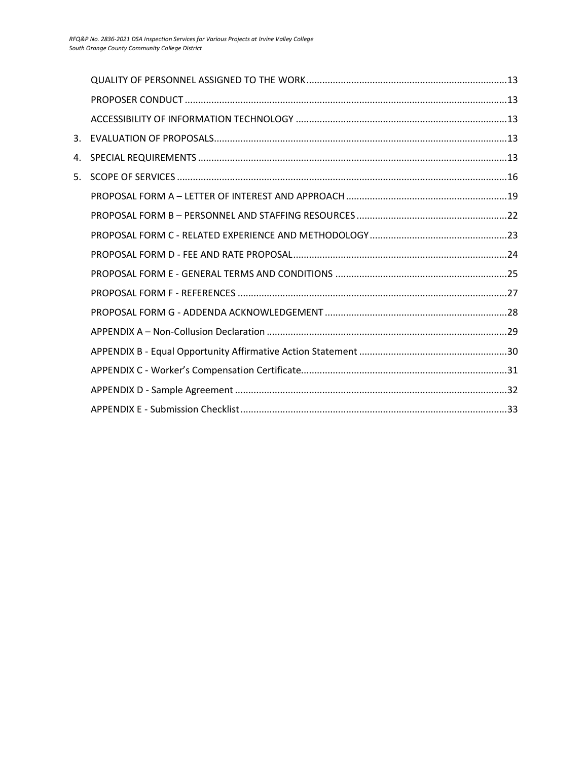| 4. |  |
|----|--|
| 5. |  |
|    |  |
|    |  |
|    |  |
|    |  |
|    |  |
|    |  |
|    |  |
|    |  |
|    |  |
|    |  |
|    |  |
|    |  |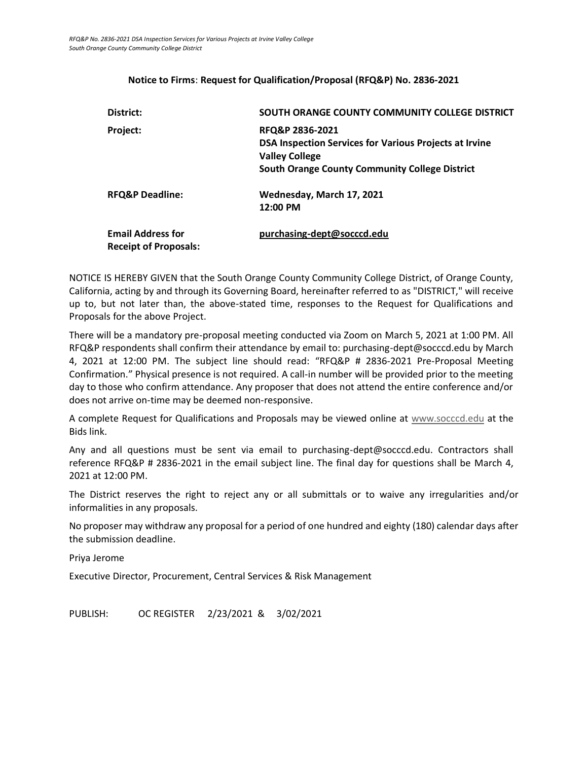### <span id="page-3-0"></span>**District: SOUTH ORANGE COUNTY COMMUNITY COLLEGE DISTRICT Project: RFQ&P 2836-2021 DSA Inspection Services for Various Projects at Irvine Valley College South Orange County Community College District RFQ&P Deadline: Wednesday, March 17, 2021 12:00 PM Email Address for Receipt of Proposals: [purchasing-dept@socccd.edu](mailto:purchasing-dept@socccd.edu)**

#### **Notice to Firms**: **Request for Qualification/Proposal (RFQ&P) No. 2836-2021**

NOTICE IS HEREBY GIVEN that the South Orange County Community College District, of Orange County, California, acting by and through its Governing Board, hereinafter referred to as "DISTRICT," will receive up to, but not later than, the above-stated time, responses to the Request for Qualifications and Proposals for the above Project.

There will be a mandatory pre-proposal meeting conducted via Zoom on March 5, 2021 at 1:00 PM. All RFQ&P respondents shall confirm their attendance by email to: purchasing-dept@socccd.edu by March 4, 2021 at 12:00 PM. The subject line should read: "RFQ&P # 2836-2021 Pre-Proposal Meeting Confirmation." Physical presence is not required. A call-in number will be provided prior to the meeting day to those who confirm attendance. Any proposer that does not attend the entire conference and/or does not arrive on-time may be deemed non-responsive.

A complete Request for Qualifications and Proposals may be viewed online at [www.socccd.edu](http://www.socccd.edu/) at the Bids link.

Any and all questions must be sent via email to purchasing-dept@socccd.edu. Contractors shall reference RFQ&P # 2836-2021 in the email subject line. The final day for questions shall be March 4, 2021 at 12:00 PM.

The District reserves the right to reject any or all submittals or to waive any irregularities and/or informalities in any proposals.

No proposer may withdraw any proposal for a period of one hundred and eighty (180) calendar days after the submission deadline.

Priya Jerome

Executive Director, Procurement, Central Services & Risk Management

<span id="page-3-1"></span>PUBLISH: OC REGISTER 2/23/2021 & 3/02/2021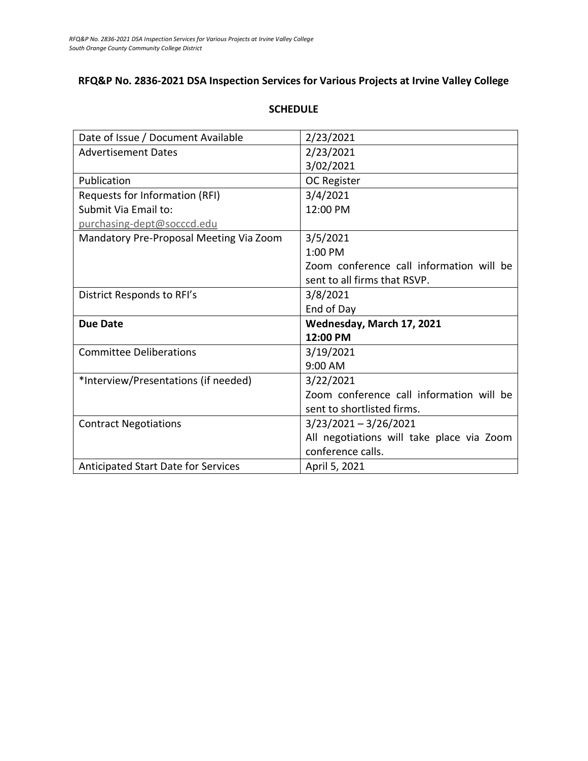### **RFQ&P No. 2836-2021 DSA Inspection Services for Various Projects at Irvine Valley College**

| Date of Issue / Document Available         | 2/23/2021                                 |
|--------------------------------------------|-------------------------------------------|
| <b>Advertisement Dates</b>                 | 2/23/2021                                 |
|                                            | 3/02/2021                                 |
| Publication                                | OC Register                               |
| Requests for Information (RFI)             | 3/4/2021                                  |
| Submit Via Email to:                       | 12:00 PM                                  |
| purchasing-dept@socccd.edu                 |                                           |
| Mandatory Pre-Proposal Meeting Via Zoom    | 3/5/2021                                  |
|                                            | 1:00 PM                                   |
|                                            | Zoom conference call information will be  |
|                                            | sent to all firms that RSVP.              |
| District Responds to RFI's                 | 3/8/2021                                  |
|                                            | End of Day                                |
| <b>Due Date</b>                            | Wednesday, March 17, 2021                 |
|                                            | 12:00 PM                                  |
| <b>Committee Deliberations</b>             | 3/19/2021                                 |
|                                            | 9:00 AM                                   |
| *Interview/Presentations (if needed)       | 3/22/2021                                 |
|                                            | Zoom conference call information will be  |
|                                            | sent to shortlisted firms.                |
| <b>Contract Negotiations</b>               | $3/23/2021 - 3/26/2021$                   |
|                                            | All negotiations will take place via Zoom |
|                                            | conference calls.                         |
| <b>Anticipated Start Date for Services</b> | April 5, 2021                             |

#### **SCHEDULE**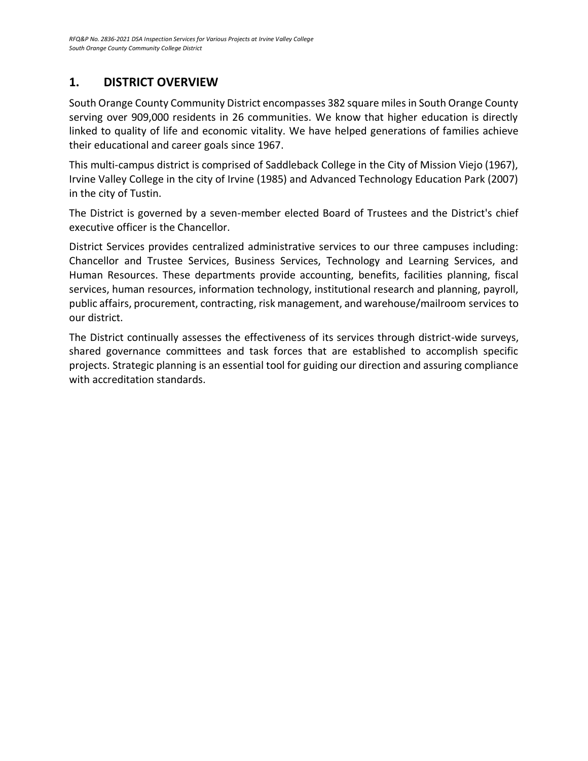### <span id="page-5-0"></span>**1. DISTRICT OVERVIEW**

South Orange County Community District encompasses 382 square miles in South Orange County serving over 909,000 residents in 26 communities. We know that higher education is directly linked to quality of life and economic vitality. We have helped generations of families achieve their educational and career goals since 1967.

This multi-campus district is comprised of Saddleback College in the City of Mission Viejo (1967), Irvine Valley College in the city of Irvine (1985) and Advanced Technology Education Park (2007) in the city of Tustin.

The District is governed by a seven-member elected Board of Trustees and the District's chief executive officer is the Chancellor.

District Services provides centralized administrative services to our three campuses including: Chancellor and Trustee Services, Business Services, Technology and Learning Services, and Human Resources. These departments provide accounting, benefits, facilities planning, fiscal services, human resources, information technology, institutional research and planning, payroll, public affairs, procurement, contracting, risk management, and warehouse/mailroom services to our district.

The District continually assesses the effectiveness of its services through district-wide surveys, shared governance committees and task forces that are established to accomplish specific projects. Strategic planning is an essential tool for guiding our direction and assuring compliance with accreditation standards.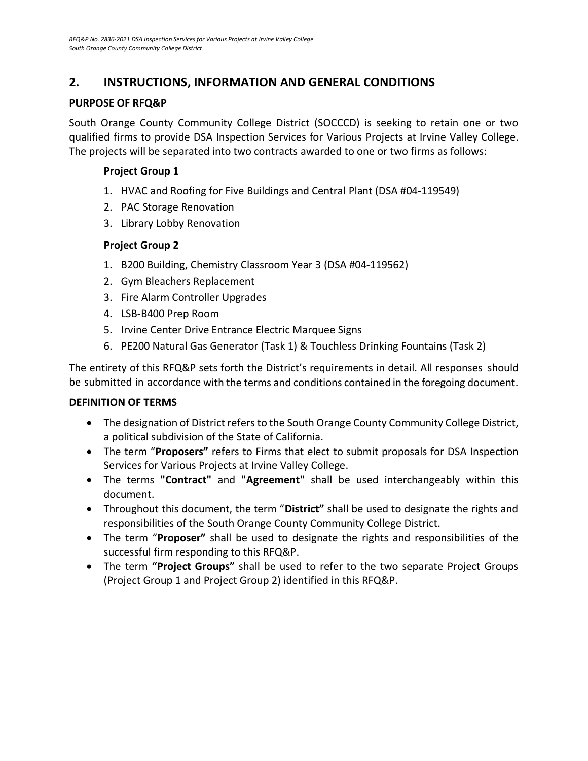### <span id="page-6-0"></span>**2. INSTRUCTIONS, INFORMATION AND GENERAL CONDITIONS**

#### <span id="page-6-1"></span>**PURPOSE OF RFQ&P**

South Orange County Community College District (SOCCCD) is seeking to retain one or two qualified firms to provide DSA Inspection Services for Various Projects at Irvine Valley College. The projects will be separated into two contracts awarded to one or two firms as follows:

#### **Project Group 1**

- 1. HVAC and Roofing for Five Buildings and Central Plant (DSA #04-119549)
- 2. PAC Storage Renovation
- 3. Library Lobby Renovation

#### **Project Group 2**

- 1. B200 Building, Chemistry Classroom Year 3 (DSA #04-119562)
- 2. Gym Bleachers Replacement
- 3. Fire Alarm Controller Upgrades
- 4. LSB-B400 Prep Room
- 5. Irvine Center Drive Entrance Electric Marquee Signs
- 6. PE200 Natural Gas Generator (Task 1) & Touchless Drinking Fountains (Task 2)

The entirety of this RFQ&P sets forth the District's requirements in detail. All responses should be submitted in accordance with the terms and conditions contained in the foregoing document.

#### <span id="page-6-2"></span>**DEFINITION OF TERMS**

- The designation of District refers to the South Orange County Community College District, a political subdivision of the State of California.
- The term "**Proposers"** refers to Firms that elect to submit proposals for DSA Inspection Services for Various Projects at Irvine Valley College.
- The terms **"Contract"** and **"Agreement"** shall be used interchangeably within this document.
- Throughout this document, the term "**District"** shall be used to designate the rights and responsibilities of the South Orange County Community College District.
- The term "**Proposer"** shall be used to designate the rights and responsibilities of the successful firm responding to this RFQ&P.
- <span id="page-6-3"></span>• The term **"Project Groups"** shall be used to refer to the two separate Project Groups (Project Group 1 and Project Group 2) identified in this RFQ&P.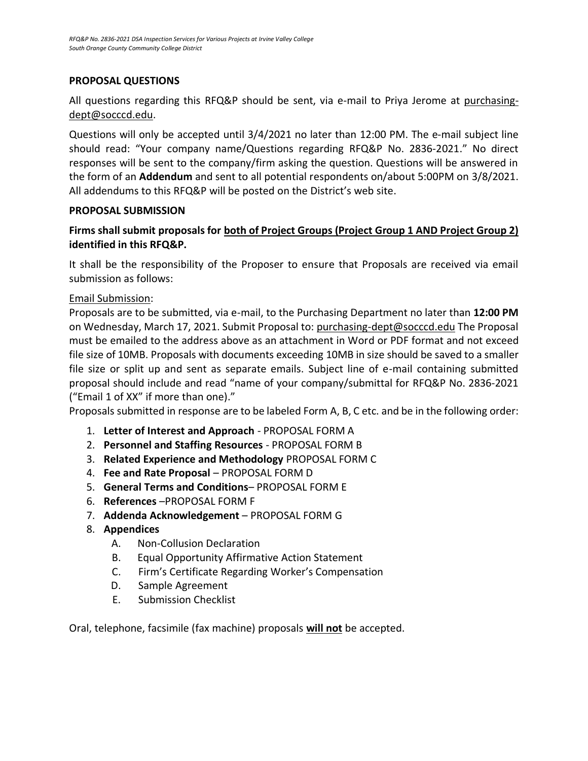#### **PROPOSAL QUESTIONS**

All questions regarding this RFQ&P should be sent, via e-mail to Priya Jerome at purchasingdept@socccd.edu.

Questions will only be accepted until 3/4/2021 no later than 12:00 PM. The e-mail subject line should read: "Your company name/Questions regarding RFQ&P No. 2836-2021." No direct responses will be sent to the company/firm asking the question. Questions will be answered in the form of an **Addendum** and sent to all potential respondents on/about 5:00PM on 3/8/2021. All addendums to this RFQ&P will be posted on the District's web site.

#### <span id="page-7-0"></span>**PROPOSAL SUBMISSION**

#### **Firms shall submit proposals for both of Project Groups (Project Group 1 AND Project Group 2) identified in this RFQ&P.**

It shall be the responsibility of the Proposer to ensure that Proposals are received via email submission as follows:

#### Email Submission:

Proposals are to be submitted, via e-mail, to the Purchasing Department no later than **12:00 PM** on Wednesday, March 17, 2021. Submit Proposal to: [purchasing-dept@socccd.edu](mailto:purchasing-dept@socccd.edu) The Proposal must be emailed to the address above as an attachment in Word or PDF format and not exceed file size of 10MB. Proposals with documents exceeding 10MB in size should be saved to a smaller file size or split up and sent as separate emails. Subject line of e-mail containing submitted proposal should include and read "name of your company/submittal for RFQ&P No. 2836-2021 ("Email 1 of XX" if more than one)."

Proposals submitted in response are to be labeled Form A, B, C etc. and be in the following order:

- 1. **Letter of Interest and Approach** PROPOSAL FORM A
- 2. **Personnel and Staffing Resources** PROPOSAL FORM B
- 3. **Related Experience and Methodology** PROPOSAL FORM C
- 4. **Fee and Rate Proposal** PROPOSAL FORM D
- 5. **General Terms and Conditions** PROPOSAL FORM E
- 6. **References** –PROPOSAL FORM F
- 7. **Addenda Acknowledgement** PROPOSAL FORM G
- 8. **Appendices**
	- A. Non-Collusion Declaration
	- B. Equal Opportunity Affirmative Action Statement
	- C. Firm's Certificate Regarding Worker's Compensation
	- D. Sample Agreement
	- E. Submission Checklist

<span id="page-7-1"></span>Oral, telephone, facsimile (fax machine) proposals **will not** be accepted.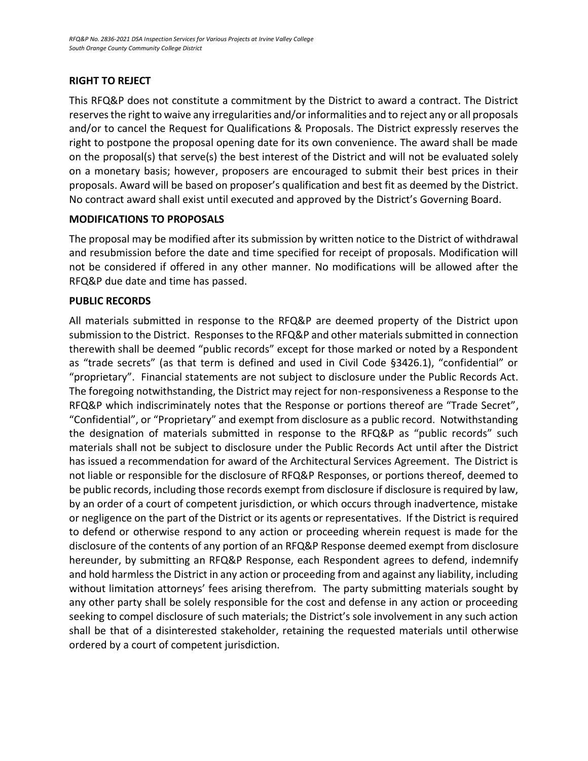#### **RIGHT TO REJECT**

This RFQ&P does not constitute a commitment by the District to award a contract. The District reserves the right to waive any irregularities and/or informalities and to reject any or all proposals and/or to cancel the Request for Qualifications & Proposals. The District expressly reserves the right to postpone the proposal opening date for its own convenience. The award shall be made on the proposal(s) that serve(s) the best interest of the District and will not be evaluated solely on a monetary basis; however, proposers are encouraged to submit their best prices in their proposals. Award will be based on proposer's qualification and best fit as deemed by the District. No contract award shall exist until executed and approved by the District's Governing Board.

#### <span id="page-8-0"></span>**MODIFICATIONS TO PROPOSALS**

The proposal may be modified after its submission by written notice to the District of withdrawal and resubmission before the date and time specified for receipt of proposals. Modification will not be considered if offered in any other manner. No modifications will be allowed after the RFQ&P due date and time has passed.

#### **PUBLIC RECORDS**

<span id="page-8-1"></span>All materials submitted in response to the RFQ&P are deemed property of the District upon submission to the District. Responses to the RFQ&P and other materials submitted in connection therewith shall be deemed "public records" except for those marked or noted by a Respondent as "trade secrets" (as that term is defined and used in Civil Code §3426.1), "confidential" or "proprietary". Financial statements are not subject to disclosure under the Public Records Act. The foregoing notwithstanding, the District may reject for non-responsiveness a Response to the RFQ&P which indiscriminately notes that the Response or portions thereof are "Trade Secret", "Confidential", or "Proprietary" and exempt from disclosure as a public record. Notwithstanding the designation of materials submitted in response to the RFQ&P as "public records" such materials shall not be subject to disclosure under the Public Records Act until after the District has issued a recommendation for award of the Architectural Services Agreement. The District is not liable or responsible for the disclosure of RFQ&P Responses, or portions thereof, deemed to be public records, including those records exempt from disclosure if disclosure is required by law, by an order of a court of competent jurisdiction, or which occurs through inadvertence, mistake or negligence on the part of the District or its agents or representatives. If the District is required to defend or otherwise respond to any action or proceeding wherein request is made for the disclosure of the contents of any portion of an RFQ&P Response deemed exempt from disclosure hereunder, by submitting an RFQ&P Response, each Respondent agrees to defend, indemnify and hold harmless the District in any action or proceeding from and against any liability, including without limitation attorneys' fees arising therefrom. The party submitting materials sought by any other party shall be solely responsible for the cost and defense in any action or proceeding seeking to compel disclosure of such materials; the District's sole involvement in any such action shall be that of a disinterested stakeholder, retaining the requested materials until otherwise ordered by a court of competent jurisdiction.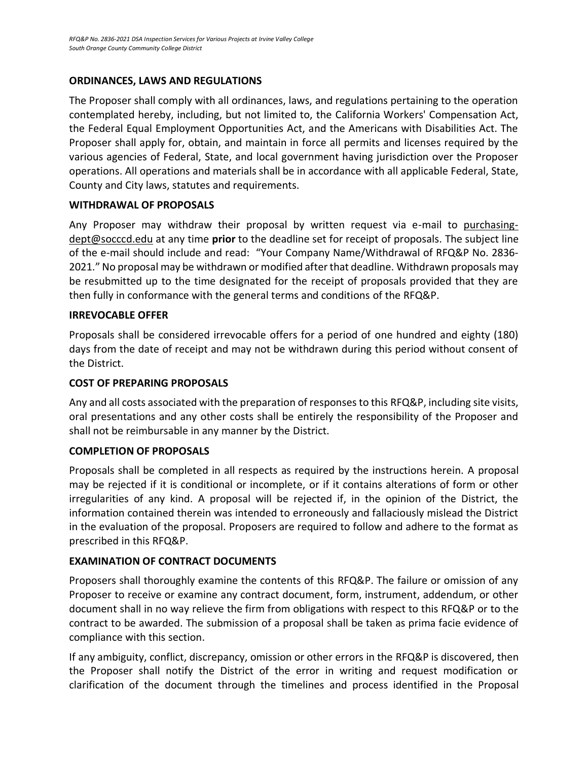#### **ORDINANCES, LAWS AND REGULATIONS**

The Proposer shall comply with all ordinances, laws, and regulations pertaining to the operation contemplated hereby, including, but not limited to, the California Workers' Compensation Act, the Federal Equal Employment Opportunities Act, and the Americans with Disabilities Act. The Proposer shall apply for, obtain, and maintain in force all permits and licenses required by the various agencies of Federal, State, and local government having jurisdiction over the Proposer operations. All operations and materials shall be in accordance with all applicable Federal, State, County and City laws, statutes and requirements.

#### <span id="page-9-0"></span>**WITHDRAWAL OF PROPOSALS**

Any Proposer may withdraw their proposal by written request via e-mail to purchasingdept@socccd.edu at any time **prior** to the deadline set for receipt of proposals. The subject line of the e-mail should include and read: "Your Company Name/Withdrawal of RFQ&P No. 2836- 2021." No proposal may be withdrawn or modified after that deadline. Withdrawn proposals may be resubmitted up to the time designated for the receipt of proposals provided that they are then fully in conformance with the general terms and conditions of the RFQ&P.

#### <span id="page-9-1"></span>**IRREVOCABLE OFFER**

Proposals shall be considered irrevocable offers for a period of one hundred and eighty (180) days from the date of receipt and may not be withdrawn during this period without consent of the District.

#### <span id="page-9-2"></span>**COST OF PREPARING PROPOSALS**

Any and all costs associated with the preparation of responses to this RFQ&P, including site visits, oral presentations and any other costs shall be entirely the responsibility of the Proposer and shall not be reimbursable in any manner by the District.

#### **COMPLETION OF PROPOSALS**

Proposals shall be completed in all respects as required by the instructions herein. A proposal may be rejected if it is conditional or incomplete, or if it contains alterations of form or other irregularities of any kind. A proposal will be rejected if, in the opinion of the District, the information contained therein was intended to erroneously and fallaciously mislead the District in the evaluation of the proposal. Proposers are required to follow and adhere to the format as prescribed in this RFQ&P.

#### **EXAMINATION OF CONTRACT DOCUMENTS**

Proposers shall thoroughly examine the contents of this RFQ&P. The failure or omission of any Proposer to receive or examine any contract document, form, instrument, addendum, or other document shall in no way relieve the firm from obligations with respect to this RFQ&P or to the contract to be awarded. The submission of a proposal shall be taken as prima facie evidence of compliance with this section.

If any ambiguity, conflict, discrepancy, omission or other errors in the RFQ&P is discovered, then the Proposer shall notify the District of the error in writing and request modification or clarification of the document through the timelines and process identified in the Proposal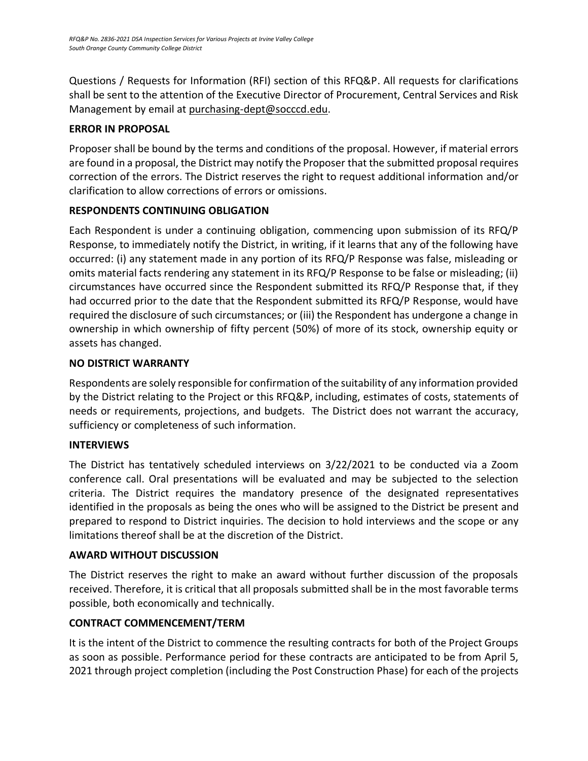Questions / Requests for Information (RFI) section of this RFQ&P. All requests for clarifications shall be sent to the attention of the Executive Director of Procurement, Central Services and Risk Management by email a[t purchasing-dept@socccd.edu.](mailto:purchasing-dept@socccd.edu)

#### **ERROR IN PROPOSAL**

Proposer shall be bound by the terms and conditions of the proposal. However, if material errors are found in a proposal, the District may notify the Proposer that the submitted proposal requires correction of the errors. The District reserves the right to request additional information and/or clarification to allow corrections of errors or omissions.

#### **RESPONDENTS CONTINUING OBLIGATION**

Each Respondent is under a continuing obligation, commencing upon submission of its RFQ/P Response, to immediately notify the District, in writing, if it learns that any of the following have occurred: (i) any statement made in any portion of its RFQ/P Response was false, misleading or omits material facts rendering any statement in its RFQ/P Response to be false or misleading; (ii) circumstances have occurred since the Respondent submitted its RFQ/P Response that, if they had occurred prior to the date that the Respondent submitted its RFQ/P Response, would have required the disclosure of such circumstances; or (iii) the Respondent has undergone a change in ownership in which ownership of fifty percent (50%) of more of its stock, ownership equity or assets has changed.

#### **NO DISTRICT WARRANTY**

Respondents are solely responsible for confirmation of the suitability of any information provided by the District relating to the Project or this RFQ&P, including, estimates of costs, statements of needs or requirements, projections, and budgets. The District does not warrant the accuracy, sufficiency or completeness of such information.

#### <span id="page-10-0"></span>**INTERVIEWS**

The District has tentatively scheduled interviews on 3/22/2021 to be conducted via a Zoom conference call. Oral presentations will be evaluated and may be subjected to the selection criteria. The District requires the mandatory presence of the designated representatives identified in the proposals as being the ones who will be assigned to the District be present and prepared to respond to District inquiries. The decision to hold interviews and the scope or any limitations thereof shall be at the discretion of the District.

#### <span id="page-10-1"></span>**AWARD WITHOUT DISCUSSION**

The District reserves the right to make an award without further discussion of the proposals received. Therefore, it is critical that all proposals submitted shall be in the most favorable terms possible, both economically and technically.

#### <span id="page-10-2"></span>**CONTRACT COMMENCEMENT/TERM**

It is the intent of the District to commence the resulting contracts for both of the Project Groups as soon as possible. Performance period for these contracts are anticipated to be from April 5, 2021 through project completion (including the Post Construction Phase) for each of the projects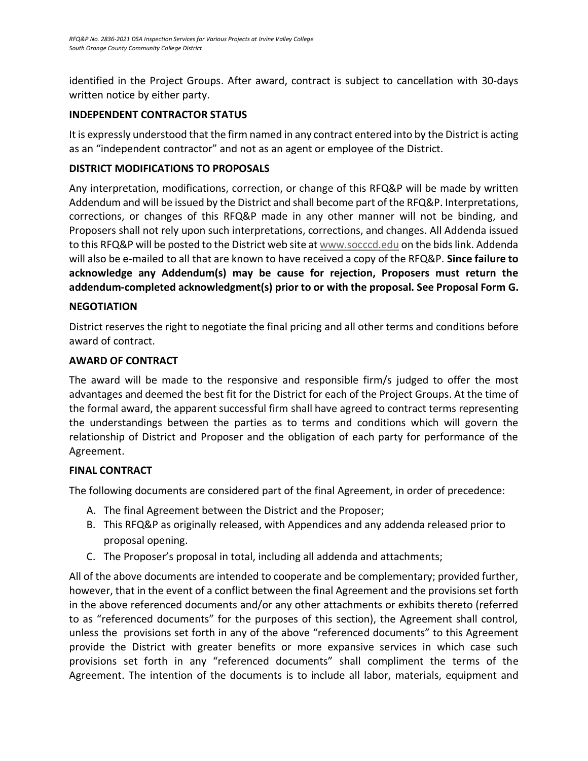identified in the Project Groups. After award, contract is subject to cancellation with 30-days written notice by either party.

#### **INDEPENDENT CONTRACTOR STATUS**

It is expressly understood that the firm named in any contract entered into by the District is acting as an "independent contractor" and not as an agent or employee of the District.

#### <span id="page-11-0"></span>**DISTRICT MODIFICATIONS TO PROPOSALS**

Any interpretation, modifications, correction, or change of this RFQ&P will be made by written Addendum and will be issued by the District and shall become part of the RFQ&P. Interpretations, corrections, or changes of this RFQ&P made in any other manner will not be binding, and Proposers shall not rely upon such interpretations, corrections, and changes. All Addenda issued to this RFQ&P will be posted to the District web site at [www.socccd.edu](http://www.socccd.edu/) on the bids link. Addenda will also be e-mailed to all that are known to have received a copy of the RFQ&P. **Since failure to acknowledge any Addendum(s) may be cause for rejection, Proposers must return the addendum-completed acknowledgment(s) prior to or with the proposal. See Proposal Form G.**

#### <span id="page-11-1"></span>**NEGOTIATION**

<span id="page-11-2"></span>District reserves the right to negotiate the final pricing and all other terms and conditions before award of contract.

#### **AWARD OF CONTRACT**

The award will be made to the responsive and responsible firm/s judged to offer the most advantages and deemed the best fit for the District for each of the Project Groups. At the time of the formal award, the apparent successful firm shall have agreed to contract terms representing the understandings between the parties as to terms and conditions which will govern the relationship of District and Proposer and the obligation of each party for performance of the Agreement.

#### <span id="page-11-3"></span>**FINAL CONTRACT**

The following documents are considered part of the final Agreement, in order of precedence:

- A. The final Agreement between the District and the Proposer;
- B. This RFQ&P as originally released, with Appendices and any addenda released prior to proposal opening.
- C. The Proposer's proposal in total, including all addenda and attachments;

All of the above documents are intended to cooperate and be complementary; provided further, however, that in the event of a conflict between the final Agreement and the provisions set forth in the above referenced documents and/or any other attachments or exhibits thereto (referred to as "referenced documents" for the purposes of this section), the Agreement shall control, unless the provisions set forth in any of the above "referenced documents" to this Agreement provide the District with greater benefits or more expansive services in which case such provisions set forth in any "referenced documents" shall compliment the terms of the Agreement. The intention of the documents is to include all labor, materials, equipment and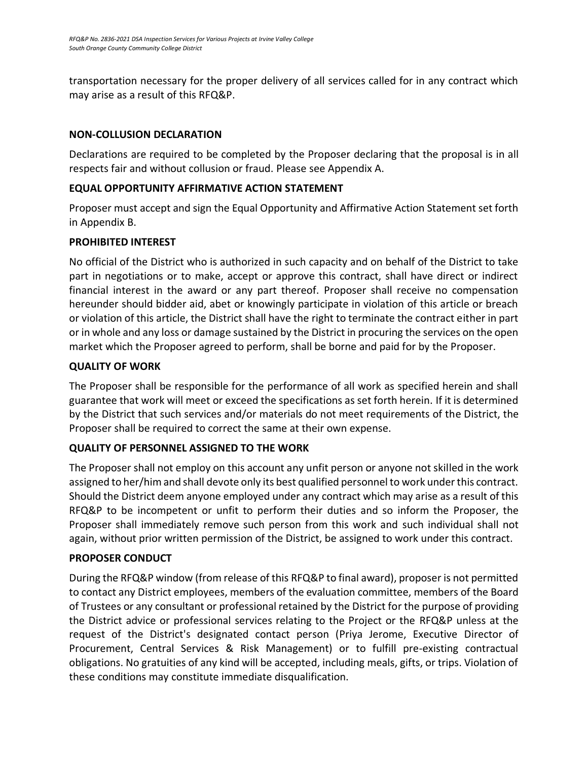transportation necessary for the proper delivery of all services called for in any contract which may arise as a result of this RFQ&P.

#### **NON-COLLUSION DECLARATION**

Declarations are required to be completed by the Proposer declaring that the proposal is in all respects fair and without collusion or fraud. Please see Appendix A.

#### <span id="page-12-0"></span>**EQUAL OPPORTUNITY AFFIRMATIVE ACTION STATEMENT**

Proposer must accept and sign the Equal Opportunity and Affirmative Action Statement set forth in Appendix B.

#### <span id="page-12-1"></span>**PROHIBITED INTEREST**

No official of the District who is authorized in such capacity and on behalf of the District to take part in negotiations or to make, accept or approve this contract, shall have direct or indirect financial interest in the award or any part thereof. Proposer shall receive no compensation hereunder should bidder aid, abet or knowingly participate in violation of this article or breach or violation of this article, the District shall have the right to terminate the contract either in part or in whole and any loss or damage sustained by the District in procuring the services on the open market which the Proposer agreed to perform, shall be borne and paid for by the Proposer.

#### <span id="page-12-2"></span>**QUALITY OF WORK**

The Proposer shall be responsible for the performance of all work as specified herein and shall guarantee that work will meet or exceed the specifications as set forth herein. If it is determined by the District that such services and/or materials do not meet requirements of the District, the Proposer shall be required to correct the same at their own expense.

#### <span id="page-12-3"></span>**QUALITY OF PERSONNEL ASSIGNED TO THE WORK**

<span id="page-12-4"></span>The Proposer shall not employ on this account any unfit person or anyone not skilled in the work assigned to her/him and shall devote only its best qualified personnel to work under this contract. Should the District deem anyone employed under any contract which may arise as a result of this RFQ&P to be incompetent or unfit to perform their duties and so inform the Proposer, the Proposer shall immediately remove such person from this work and such individual shall not again, without prior written permission of the District, be assigned to work under this contract.

#### **PROPOSER CONDUCT**

<span id="page-12-5"></span>During the RFQ&P window (from release of this RFQ&P to final award), proposer is not permitted to contact any District employees, members of the evaluation committee, members of the Board of Trustees or any consultant or professional retained by the District for the purpose of providing the District advice or professional services relating to the Project or the RFQ&P unless at the request of the District's designated contact person (Priya Jerome, Executive Director of Procurement, Central Services & Risk Management) or to fulfill pre-existing contractual obligations. No gratuities of any kind will be accepted, including meals, gifts, or trips. Violation of these conditions may constitute immediate disqualification.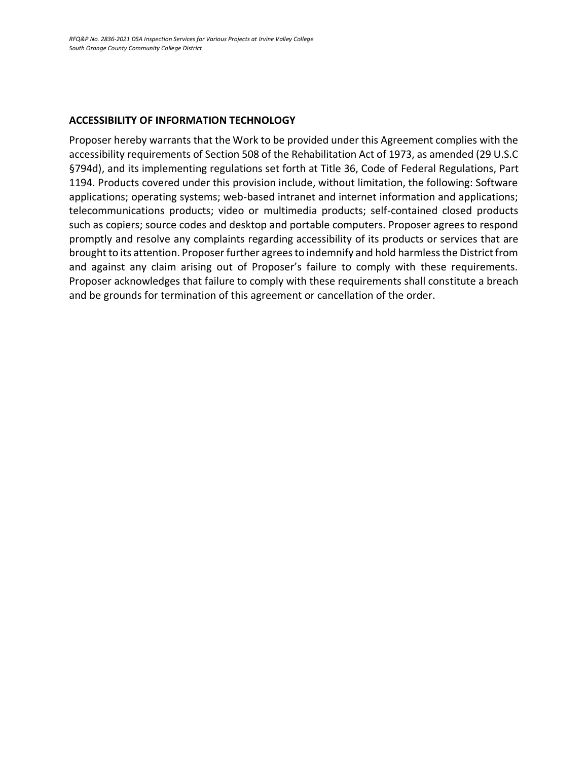#### **ACCESSIBILITY OF INFORMATION TECHNOLOGY**

Proposer hereby warrants that the Work to be provided under this Agreement complies with the accessibility requirements of Section 508 of the Rehabilitation Act of 1973, as amended (29 U.S.C §794d), and its implementing regulations set forth at Title 36, Code of Federal Regulations, Part 1194. Products covered under this provision include, without limitation, the following: Software applications; operating systems; web-based intranet and internet information and applications; telecommunications products; video or multimedia products; self-contained closed products such as copiers; source codes and desktop and portable computers. Proposer agrees to respond promptly and resolve any complaints regarding accessibility of its products or services that are brought to its attention. Proposer further agrees to indemnify and hold harmless the District from and against any claim arising out of Proposer's failure to comply with these requirements. Proposer acknowledges that failure to comply with these requirements shall constitute a breach and be grounds for termination of this agreement or cancellation of the order.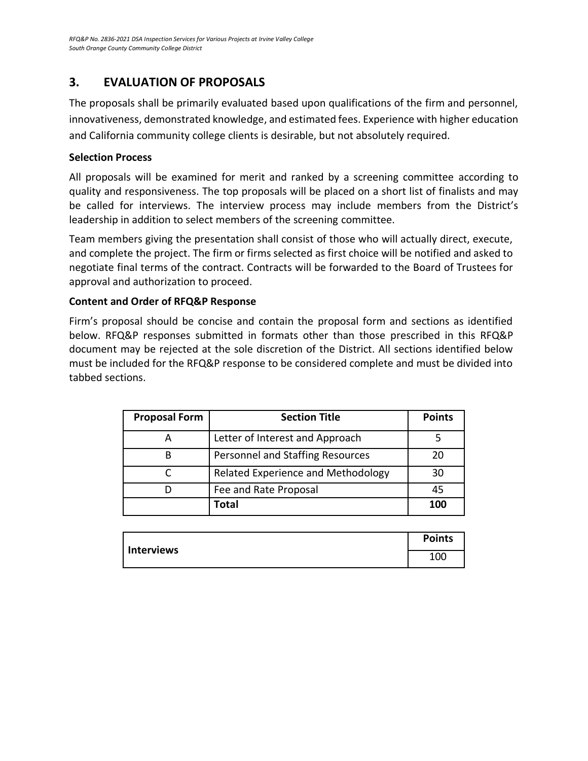### **3. EVALUATION OF PROPOSALS**

The proposals shall be primarily evaluated based upon qualifications of the firm and personnel, innovativeness, demonstrated knowledge, and estimated fees. Experience with higher education and California community college clients is desirable, but not absolutely required.

#### **Selection Process**

All proposals will be examined for merit and ranked by a screening committee according to quality and responsiveness. The top proposals will be placed on a short list of finalists and may be called for interviews. The interview process may include members from the District's leadership in addition to select members of the screening committee.

Team members giving the presentation shall consist of those who will actually direct, execute, and complete the project. The firm or firms selected as first choice will be notified and asked to negotiate final terms of the contract. Contracts will be forwarded to the Board of Trustees for approval and authorization to proceed.

#### **Content and Order of RFQ&P Response**

Firm's proposal should be concise and contain the proposal form and sections as identified below. RFQ&P responses submitted in formats other than those prescribed in this RFQ&P document may be rejected at the sole discretion of the District. All sections identified below must be included for the RFQ&P response to be considered complete and must be divided into tabbed sections.

| <b>Proposal Form</b> | <b>Section Title</b>               | <b>Points</b> |
|----------------------|------------------------------------|---------------|
|                      | Letter of Interest and Approach    |               |
|                      | Personnel and Staffing Resources   | 20            |
|                      | Related Experience and Methodology | 30            |
|                      | Fee and Rate Proposal              | 45            |
|                      | <b>Total</b>                       | 100           |

| Interviews | <b>Points</b> |
|------------|---------------|
|            | 100           |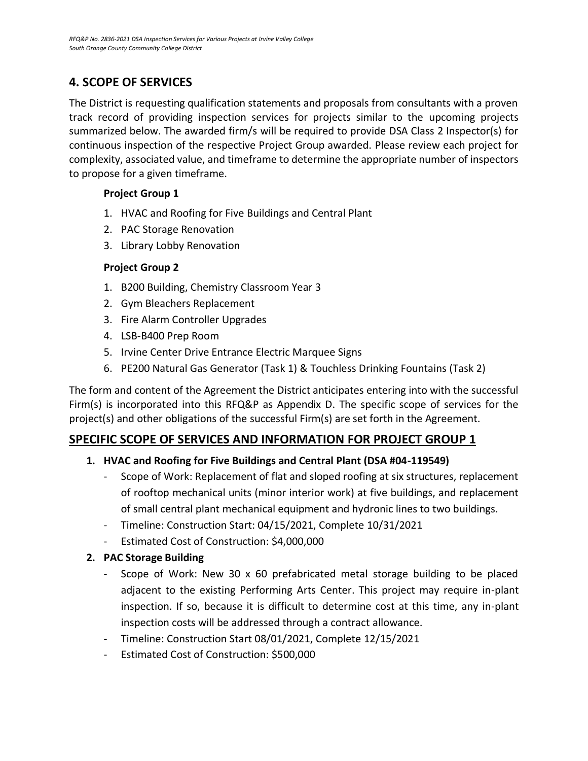### <span id="page-15-0"></span>**4. SCOPE OF SERVICES**

The District is requesting qualification statements and proposals from consultants with a proven track record of providing inspection services for projects similar to the upcoming projects summarized below. The awarded firm/s will be required to provide DSA Class 2 Inspector(s) for continuous inspection of the respective Project Group awarded. Please review each project for complexity, associated value, and timeframe to determine the appropriate number of inspectors to propose for a given timeframe.

#### **Project Group 1**

- 1. HVAC and Roofing for Five Buildings and Central Plant
- 2. PAC Storage Renovation
- 3. Library Lobby Renovation

#### **Project Group 2**

- 1. B200 Building, Chemistry Classroom Year 3
- 2. Gym Bleachers Replacement
- 3. Fire Alarm Controller Upgrades
- 4. LSB-B400 Prep Room
- 5. Irvine Center Drive Entrance Electric Marquee Signs
- 6. PE200 Natural Gas Generator (Task 1) & Touchless Drinking Fountains (Task 2)

The form and content of the Agreement the District anticipates entering into with the successful Firm(s) is incorporated into this RFQ&P as Appendix D. The specific scope of services for the project(s) and other obligations of the successful Firm(s) are set forth in the Agreement.

### **SPECIFIC SCOPE OF SERVICES AND INFORMATION FOR PROJECT GROUP 1**

#### **1. HVAC and Roofing for Five Buildings and Central Plant (DSA #04-119549)**

- Scope of Work: Replacement of flat and sloped roofing at six structures, replacement of rooftop mechanical units (minor interior work) at five buildings, and replacement of small central plant mechanical equipment and hydronic lines to two buildings.
- Timeline: Construction Start: 04/15/2021, Complete 10/31/2021
- Estimated Cost of Construction: \$4,000,000
- **2. PAC Storage Building**
	- Scope of Work: New 30 x 60 prefabricated metal storage building to be placed adjacent to the existing Performing Arts Center. This project may require in-plant inspection. If so, because it is difficult to determine cost at this time, any in-plant inspection costs will be addressed through a contract allowance.
	- Timeline: Construction Start 08/01/2021, Complete 12/15/2021
	- Estimated Cost of Construction: \$500,000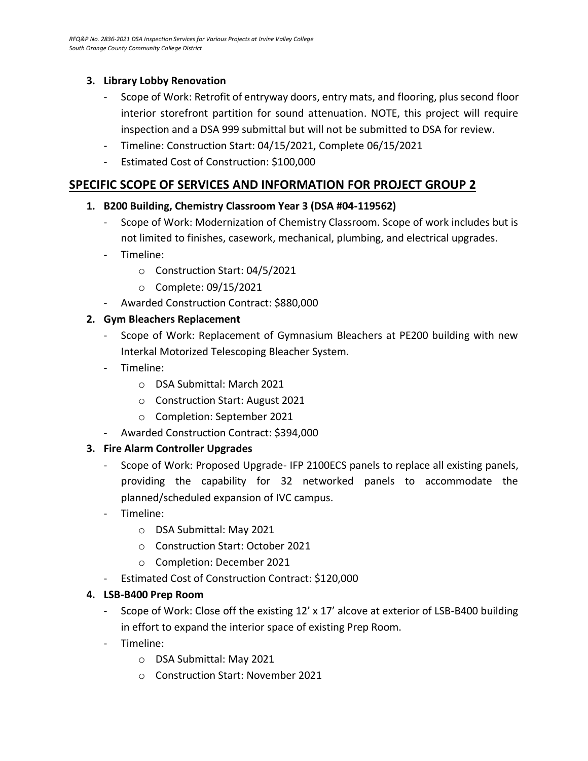#### **3. Library Lobby Renovation**

- Scope of Work: Retrofit of entryway doors, entry mats, and flooring, plus second floor interior storefront partition for sound attenuation. NOTE, this project will require inspection and a DSA 999 submittal but will not be submitted to DSA for review.
- Timeline: Construction Start: 04/15/2021, Complete 06/15/2021
- Estimated Cost of Construction: \$100,000

### **SPECIFIC SCOPE OF SERVICES AND INFORMATION FOR PROJECT GROUP 2**

#### **1. B200 Building, Chemistry Classroom Year 3 (DSA #04-119562)**

- Scope of Work: Modernization of Chemistry Classroom. Scope of work includes but is not limited to finishes, casework, mechanical, plumbing, and electrical upgrades.
- Timeline:
	- o Construction Start: 04/5/2021
	- o Complete: 09/15/2021
- Awarded Construction Contract: \$880,000

#### **2. Gym Bleachers Replacement**

- Scope of Work: Replacement of Gymnasium Bleachers at PE200 building with new Interkal Motorized Telescoping Bleacher System.
- Timeline:
	- o DSA Submittal: March 2021
	- o Construction Start: August 2021
	- o Completion: September 2021
- Awarded Construction Contract: \$394,000

### **3. Fire Alarm Controller Upgrades**

- Scope of Work: Proposed Upgrade- IFP 2100ECS panels to replace all existing panels, providing the capability for 32 networked panels to accommodate the planned/scheduled expansion of IVC campus.
- Timeline:
	- o DSA Submittal: May 2021
	- o Construction Start: October 2021
	- o Completion: December 2021
- Estimated Cost of Construction Contract: \$120,000

#### **4. LSB-B400 Prep Room**

- Scope of Work: Close off the existing 12' x 17' alcove at exterior of LSB-B400 building in effort to expand the interior space of existing Prep Room.
- Timeline:
	- o DSA Submittal: May 2021
	- o Construction Start: November 2021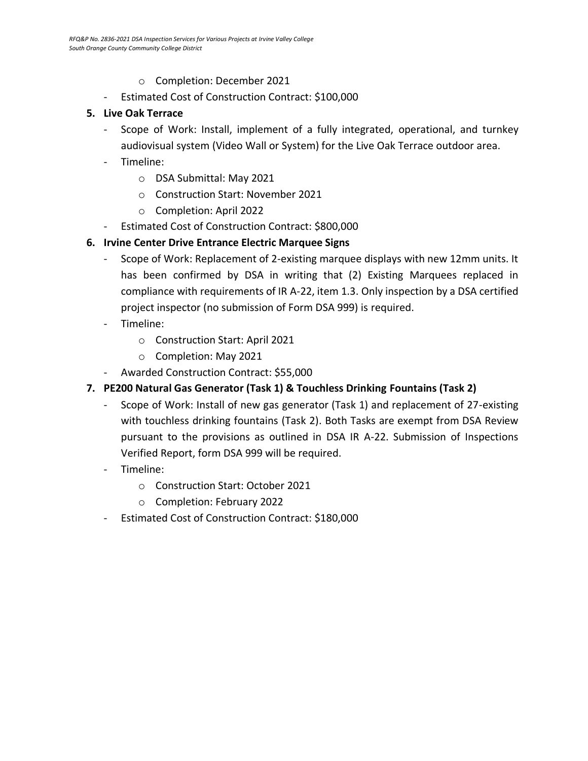- o Completion: December 2021
- Estimated Cost of Construction Contract: \$100,000

#### **5. Live Oak Terrace**

- Scope of Work: Install, implement of a fully integrated, operational, and turnkey audiovisual system (Video Wall or System) for the Live Oak Terrace outdoor area.
- Timeline:
	- o DSA Submittal: May 2021
	- o Construction Start: November 2021
	- o Completion: April 2022
- Estimated Cost of Construction Contract: \$800,000

#### **6. Irvine Center Drive Entrance Electric Marquee Signs**

- Scope of Work: Replacement of 2-existing marquee displays with new 12mm units. It has been confirmed by DSA in writing that (2) Existing Marquees replaced in compliance with requirements of IR A-22, item 1.3. Only inspection by a DSA certified project inspector (no submission of Form DSA 999) is required.
- Timeline:
	- o Construction Start: April 2021
	- o Completion: May 2021
- Awarded Construction Contract: \$55,000
- **7. PE200 Natural Gas Generator (Task 1) & Touchless Drinking Fountains (Task 2)**
	- Scope of Work: Install of new gas generator (Task 1) and replacement of 27-existing with touchless drinking fountains (Task 2). Both Tasks are exempt from DSA Review pursuant to the provisions as outlined in DSA IR A-22. Submission of Inspections Verified Report, form DSA 999 will be required.
	- Timeline:
		- o Construction Start: October 2021
		- o Completion: February 2022
	- Estimated Cost of Construction Contract: \$180,000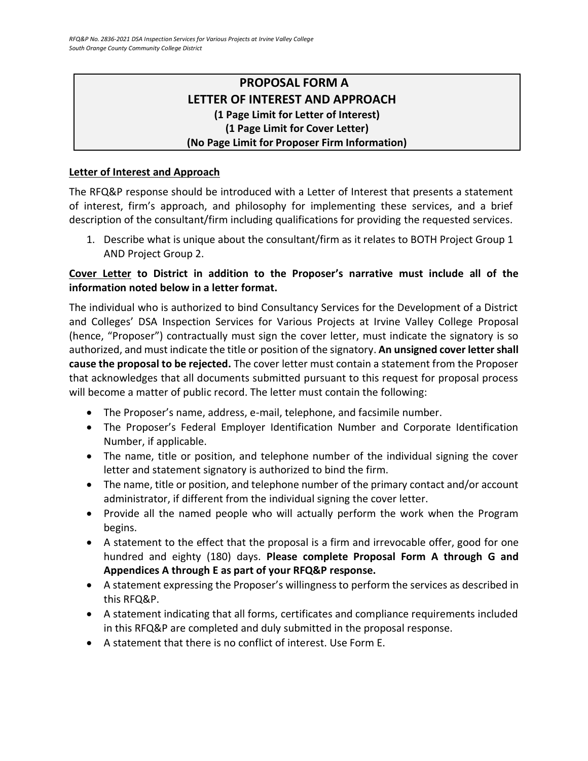### **PROPOSAL FORM A LETTER OF INTEREST AND APPROACH (1 Page Limit for Letter of Interest) (1 Page Limit for Cover Letter) (No Page Limit for Proposer Firm Information)**

#### <span id="page-18-0"></span>**Letter of Interest and Approach**

The RFQ&P response should be introduced with a Letter of Interest that presents a statement of interest, firm's approach, and philosophy for implementing these services, and a brief description of the consultant/firm including qualifications for providing the requested services.

1. Describe what is unique about the consultant/firm as it relates to BOTH Project Group 1 AND Project Group 2.

#### **Cover Letter to District in addition to the Proposer's narrative must include all of the information noted below in a letter format.**

The individual who is authorized to bind Consultancy Services for the Development of a District and Colleges' DSA Inspection Services for Various Projects at Irvine Valley College Proposal (hence, "Proposer") contractually must sign the cover letter, must indicate the signatory is so authorized, and must indicate the title or position of the signatory. **An unsigned cover letter shall cause the proposal to be rejected.** The cover letter must contain a statement from the Proposer that acknowledges that all documents submitted pursuant to this request for proposal process will become a matter of public record. The letter must contain the following:

- The Proposer's name, address, e-mail, telephone, and facsimile number.
- The Proposer's Federal Employer Identification Number and Corporate Identification Number, if applicable.
- The name, title or position, and telephone number of the individual signing the cover letter and statement signatory is authorized to bind the firm.
- The name, title or position, and telephone number of the primary contact and/or account administrator, if different from the individual signing the cover letter.
- Provide all the named people who will actually perform the work when the Program begins.
- A statement to the effect that the proposal is a firm and irrevocable offer, good for one hundred and eighty (180) days. **Please complete Proposal Form A through G and Appendices A through E as part of your RFQ&P response.**
- A statement expressing the Proposer's willingness to perform the services as described in this RFQ&P.
- A statement indicating that all forms, certificates and compliance requirements included in this RFQ&P are completed and duly submitted in the proposal response.
- A statement that there is no conflict of interest. Use Form E.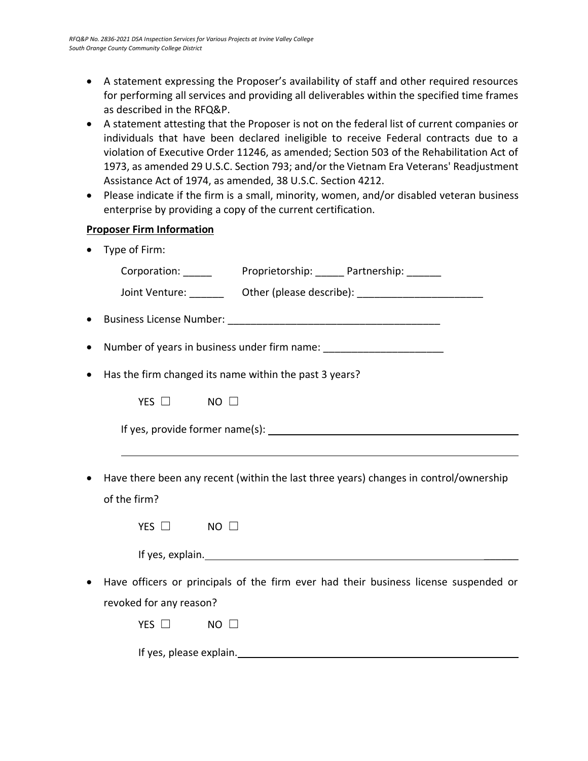- A statement expressing the Proposer's availability of staff and other required resources for performing all services and providing all deliverables within the specified time frames as described in the RFQ&P.
- A statement attesting that the Proposer is not on the federal list of current companies or individuals that have been declared ineligible to receive Federal contracts due to a violation of Executive Order 11246, as amended; Section 503 of the Rehabilitation Act of 1973, as amended 29 U.S.C. Section 793; and/or the Vietnam Era Veterans' Readjustment Assistance Act of 1974, as amended, 38 U.S.C. Section 4212.
- Please indicate if the firm is a small, minority, women, and/or disabled veteran business enterprise by providing a copy of the current certification.

#### **Proposer Firm Information**

• Type of Firm:

| Corporation: _______ Proprietorship: ______ Partnership: ______                  |                                                                                       |
|----------------------------------------------------------------------------------|---------------------------------------------------------------------------------------|
|                                                                                  | Joint Venture: __________ Other (please describe): _____________________________      |
|                                                                                  |                                                                                       |
| Number of years in business under firm name: ___________________________________ |                                                                                       |
| Has the firm changed its name within the past 3 years?                           |                                                                                       |
| YES $\Box$ NO $\Box$                                                             |                                                                                       |
|                                                                                  |                                                                                       |
|                                                                                  |                                                                                       |
|                                                                                  | Have there been any recent (within the last three years) changes in control/ownership |
| of the firm?                                                                     |                                                                                       |
| YES $\Box$<br>$NO$ $\Box$                                                        |                                                                                       |
|                                                                                  |                                                                                       |
|                                                                                  | Have officers or principals of the firm ever had their business license suspended or  |
| revoked for any reason?                                                          |                                                                                       |
| YES $\Box$<br>NO.                                                                |                                                                                       |

If yes, please explain.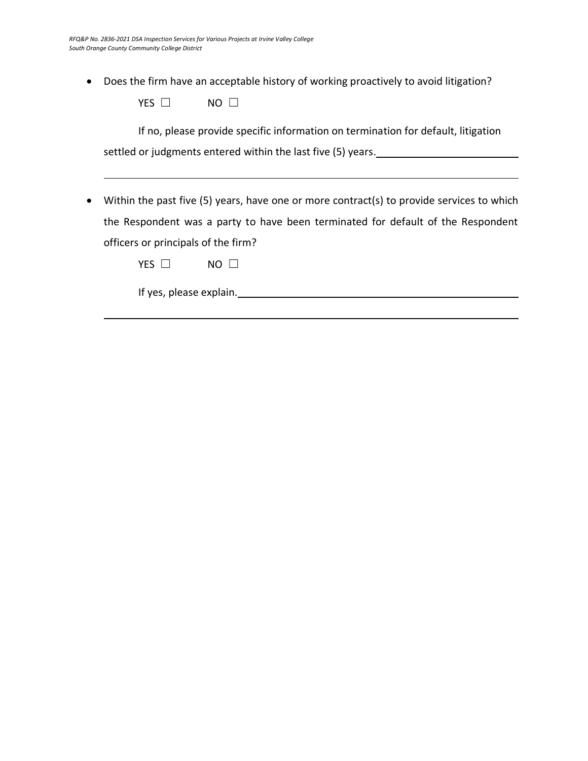• Does the firm have an acceptable history of working proactively to avoid litigation?

| YES | NΟ |  |
|-----|----|--|
|-----|----|--|

If no, please provide specific information on termination for default, litigation settled or judgments entered within the last five (5) years.

• Within the past five (5) years, have one or more contract(s) to provide services to which the Respondent was a party to have been terminated for default of the Respondent officers or principals of the firm?

If yes, please explain.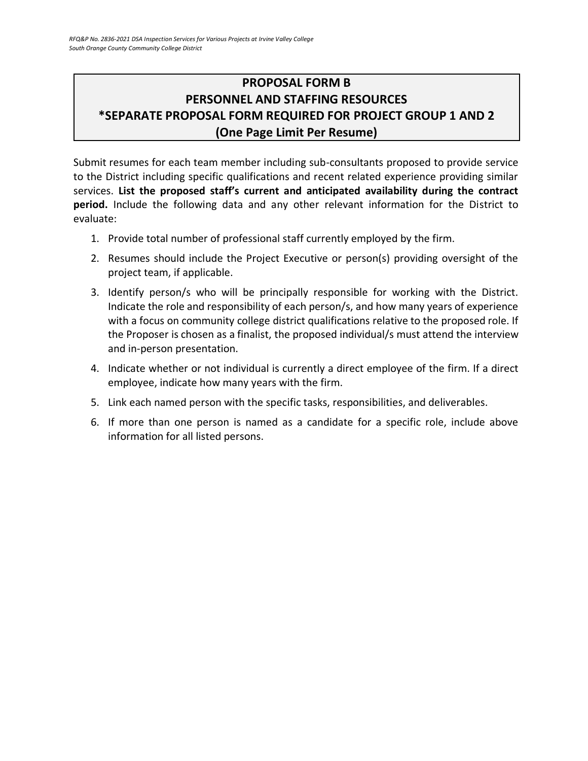### <span id="page-21-0"></span>**PROPOSAL FORM B PERSONNEL AND STAFFING RESOURCES \*SEPARATE PROPOSAL FORM REQUIRED FOR PROJECT GROUP 1 AND 2 (One Page Limit Per Resume)**

Submit resumes for each team member including sub-consultants proposed to provide service to the District including specific qualifications and recent related experience providing similar services. **List the proposed staff's current and anticipated availability during the contract period.** Include the following data and any other relevant information for the District to evaluate:

- 1. Provide total number of professional staff currently employed by the firm.
- 2. Resumes should include the Project Executive or person(s) providing oversight of the project team, if applicable.
- 3. Identify person/s who will be principally responsible for working with the District. Indicate the role and responsibility of each person/s, and how many years of experience with a focus on community college district qualifications relative to the proposed role. If the Proposer is chosen as a finalist, the proposed individual/s must attend the interview and in-person presentation.
- 4. Indicate whether or not individual is currently a direct employee of the firm. If a direct employee, indicate how many years with the firm.
- 5. Link each named person with the specific tasks, responsibilities, and deliverables.
- 6. If more than one person is named as a candidate for a specific role, include above information for all listed persons.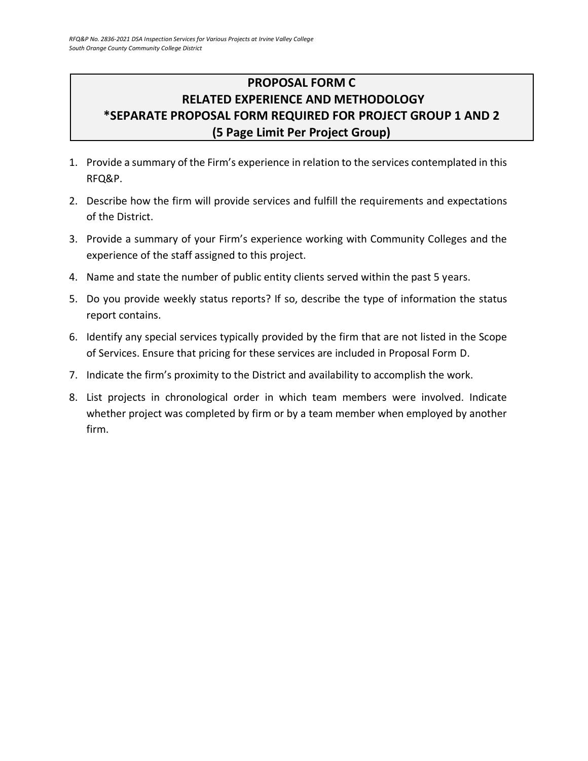### <span id="page-22-0"></span>**PROPOSAL FORM C RELATED EXPERIENCE AND METHODOLOGY \*SEPARATE PROPOSAL FORM REQUIRED FOR PROJECT GROUP 1 AND 2 (5 Page Limit Per Project Group)**

- 1. Provide a summary of the Firm's experience in relation to the services contemplated in this RFQ&P.
- 2. Describe how the firm will provide services and fulfill the requirements and expectations of the District.
- 3. Provide a summary of your Firm's experience working with Community Colleges and the experience of the staff assigned to this project.
- 4. Name and state the number of public entity clients served within the past 5 years.
- 5. Do you provide weekly status reports? If so, describe the type of information the status report contains.
- 6. Identify any special services typically provided by the firm that are not listed in the Scope of Services. Ensure that pricing for these services are included in Proposal Form D.
- 7. Indicate the firm's proximity to the District and availability to accomplish the work.
- 8. List projects in chronological order in which team members were involved. Indicate whether project was completed by firm or by a team member when employed by another firm.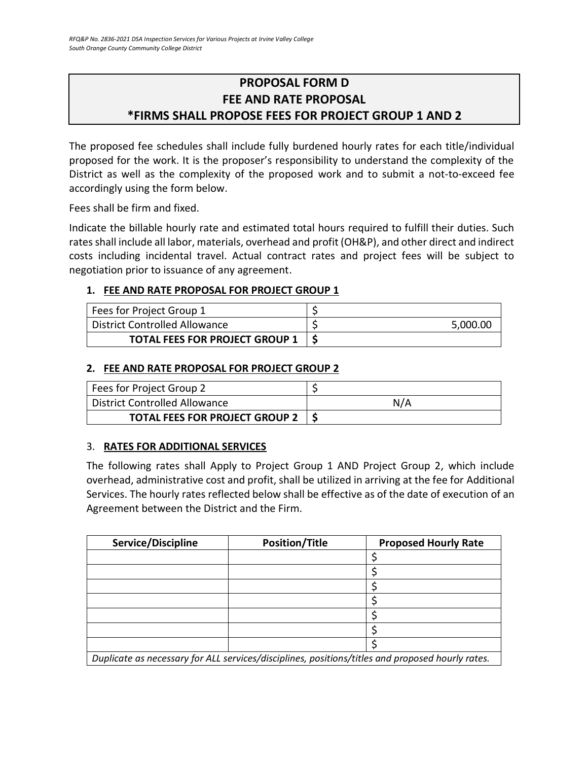### <span id="page-23-0"></span>**PROPOSAL FORM D FEE AND RATE PROPOSAL \*FIRMS SHALL PROPOSE FEES FOR PROJECT GROUP 1 AND 2**

The proposed fee schedules shall include fully burdened hourly rates for each title/individual proposed for the work. It is the proposer's responsibility to understand the complexity of the District as well as the complexity of the proposed work and to submit a not-to-exceed fee accordingly using the form below.

Fees shall be firm and fixed.

Indicate the billable hourly rate and estimated total hours required to fulfill their duties. Such rates shall include all labor, materials, overhead and profit (OH&P), and other direct and indirect costs including incidental travel. Actual contract rates and project fees will be subject to negotiation prior to issuance of any agreement.

#### **1. FEE AND RATE PROPOSAL FOR PROJECT GROUP 1**

| Fees for Project Group 1             |          |
|--------------------------------------|----------|
| <b>District Controlled Allowance</b> | 5,000.00 |
| TOTAL FEES FOR PROJECT GROUP 1   \$  |          |

#### **2. FEE AND RATE PROPOSAL FOR PROJECT GROUP 2**

| Fees for Project Group 2             |     |
|--------------------------------------|-----|
| <b>District Controlled Allowance</b> | N/A |
| TOTAL FEES FOR PROJECT GROUP 2   \$  |     |

#### 3. **RATES FOR ADDITIONAL SERVICES**

The following rates shall Apply to Project Group 1 AND Project Group 2, which include overhead, administrative cost and profit, shall be utilized in arriving at the fee for Additional Services. The hourly rates reflected below shall be effective as of the date of execution of an Agreement between the District and the Firm.

| Service/Discipline                                                                               | <b>Position/Title</b> | <b>Proposed Hourly Rate</b> |
|--------------------------------------------------------------------------------------------------|-----------------------|-----------------------------|
|                                                                                                  |                       |                             |
|                                                                                                  |                       |                             |
|                                                                                                  |                       |                             |
|                                                                                                  |                       |                             |
|                                                                                                  |                       |                             |
|                                                                                                  |                       |                             |
|                                                                                                  |                       |                             |
| Duplicate as necessary for ALL services/disciplines, positions/titles and proposed hourly rates. |                       |                             |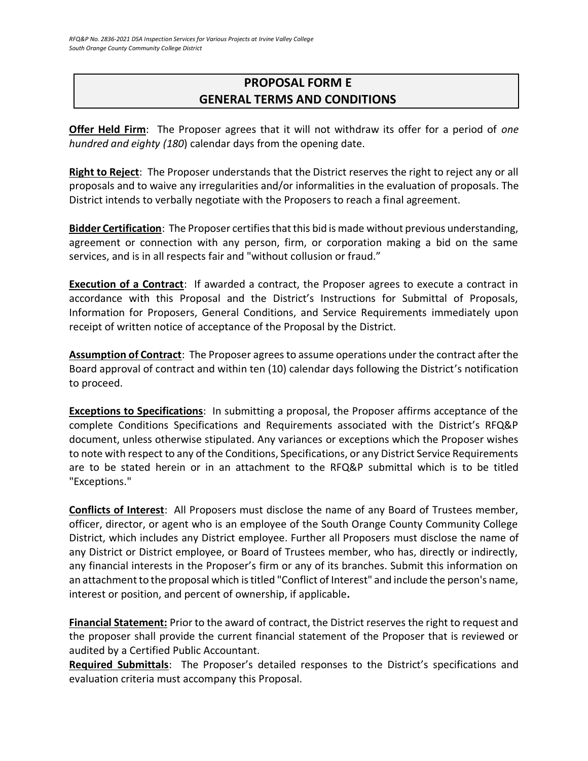### <span id="page-24-0"></span>**PROPOSAL FORM E GENERAL TERMS AND CONDITIONS**

**Offer Held Firm**: The Proposer agrees that it will not withdraw its offer for a period of *one hundred and eighty (180*) calendar days from the opening date.

**Right to Reject**: The Proposer understands that the District reserves the right to reject any or all proposals and to waive any irregularities and/or informalities in the evaluation of proposals. The District intends to verbally negotiate with the Proposers to reach a final agreement.

**Bidder Certification**: The Proposer certifies that this bid is made without previous understanding, agreement or connection with any person, firm, or corporation making a bid on the same services, and is in all respects fair and "without collusion or fraud."

**Execution of a Contract**: If awarded a contract, the Proposer agrees to execute a contract in accordance with this Proposal and the District's Instructions for Submittal of Proposals, Information for Proposers, General Conditions, and Service Requirements immediately upon receipt of written notice of acceptance of the Proposal by the District.

**Assumption of Contract**: The Proposer agrees to assume operations under the contract after the Board approval of contract and within ten (10) calendar days following the District's notification to proceed.

**Exceptions to Specifications**: In submitting a proposal, the Proposer affirms acceptance of the complete Conditions Specifications and Requirements associated with the District's RFQ&P document, unless otherwise stipulated. Any variances or exceptions which the Proposer wishes to note with respect to any of the Conditions, Specifications, or any District Service Requirements are to be stated herein or in an attachment to the RFQ&P submittal which is to be titled "Exceptions."

**Conflicts of Interest**: All Proposers must disclose the name of any Board of Trustees member, officer, director, or agent who is an employee of the South Orange County Community College District, which includes any District employee. Further all Proposers must disclose the name of any District or District employee, or Board of Trustees member, who has, directly or indirectly, any financial interests in the Proposer's firm or any of its branches. Submit this information on an attachment to the proposal which is titled "Conflict of Interest" and include the person's name, interest or position, and percent of ownership, if applicable**.**

**Financial Statement:** Prior to the award of contract, the District reserves the right to request and the proposer shall provide the current financial statement of the Proposer that is reviewed or audited by a Certified Public Accountant.

**Required Submittals**: The Proposer's detailed responses to the District's specifications and evaluation criteria must accompany this Proposal.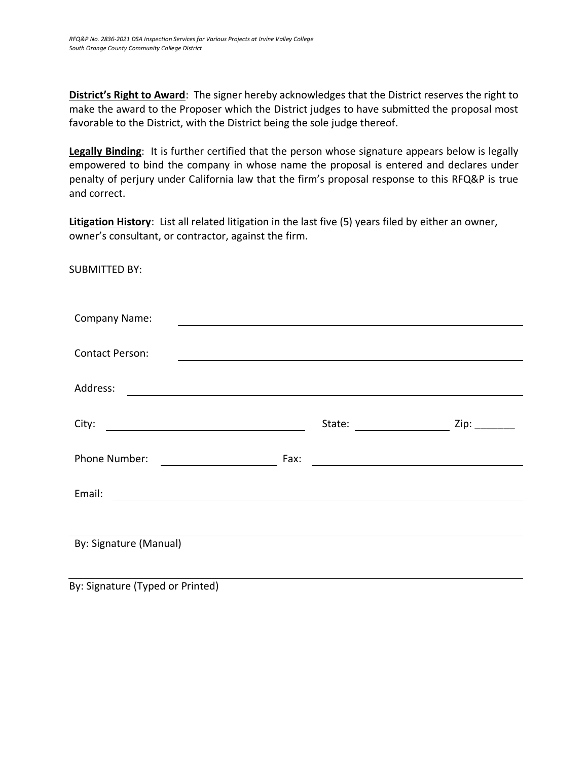**District's Right to Award**: The signer hereby acknowledges that the District reserves the right to make the award to the Proposer which the District judges to have submitted the proposal most favorable to the District, with the District being the sole judge thereof.

**Legally Binding**: It is further certified that the person whose signature appears below is legally empowered to bind the company in whose name the proposal is entered and declares under penalty of perjury under California law that the firm's proposal response to this RFQ&P is true and correct.

**Litigation History**: List all related litigation in the last five (5) years filed by either an owner, owner's consultant, or contractor, against the firm.

SUBMITTED BY:

| <b>Company Name:</b>                                                                                                   |      |                                               |      |  |
|------------------------------------------------------------------------------------------------------------------------|------|-----------------------------------------------|------|--|
|                                                                                                                        |      |                                               |      |  |
| <b>Contact Person:</b>                                                                                                 |      |                                               |      |  |
|                                                                                                                        |      |                                               |      |  |
| Address:                                                                                                               |      |                                               |      |  |
| <u> 1989 - Johann Stoff, deutscher Stoffen und der Stoffen und der Stoffen und der Stoffen und der Stoffen und der</u> |      |                                               |      |  |
| City:                                                                                                                  |      | State:                                        | Zip: |  |
|                                                                                                                        |      |                                               |      |  |
| Phone Number:                                                                                                          | Fax: |                                               |      |  |
|                                                                                                                        |      | <u> 1989 - Andrea Andrew Maria (h. 1989).</u> |      |  |
| Email:                                                                                                                 |      |                                               |      |  |
|                                                                                                                        |      |                                               |      |  |
|                                                                                                                        |      |                                               |      |  |
| By: Signature (Manual)                                                                                                 |      |                                               |      |  |
|                                                                                                                        |      |                                               |      |  |
|                                                                                                                        |      |                                               |      |  |

By: Signature (Typed or Printed)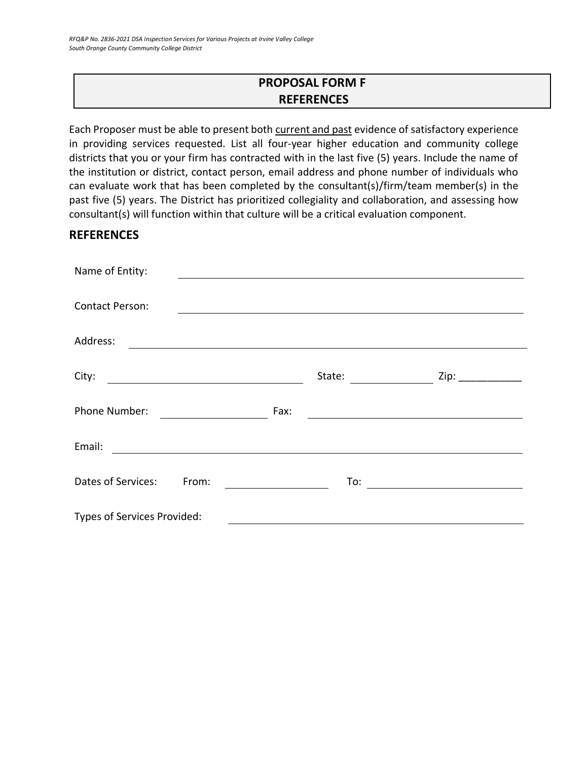### **PROPOSAL FORM F REFERENCES**

<span id="page-26-0"></span>Each Proposer must be able to present both current and past evidence of satisfactory experience in providing services requested. List all four-year higher education and community college districts that you or your firm has contracted with in the last five (5) years. Include the name of the institution or district, contact person, email address and phone number of individuals who can evaluate work that has been completed by the consultant(s)/firm/team member(s) in the past five (5) years. The District has prioritized collegiality and collaboration, and assessing how consultant(s) will function within that culture will be a critical evaluation component.

#### **REFERENCES**

| Name of Entity:                                                                                                                  |        |                      |
|----------------------------------------------------------------------------------------------------------------------------------|--------|----------------------|
|                                                                                                                                  |        |                      |
| <b>Contact Person:</b>                                                                                                           |        |                      |
| Address:<br><u> 1980 - Andrea State Barbara, amerikan personal di sebagai personal di sebagai personal di sebagai personal d</u> |        |                      |
|                                                                                                                                  |        |                      |
| City:                                                                                                                            | State: | Zip: $\qquad \qquad$ |
| Phone Number:                                                                                                                    | Fax:   |                      |
| Email:                                                                                                                           |        |                      |
| Dates of Services:<br>From:                                                                                                      | To:    |                      |
| Types of Services Provided:                                                                                                      |        |                      |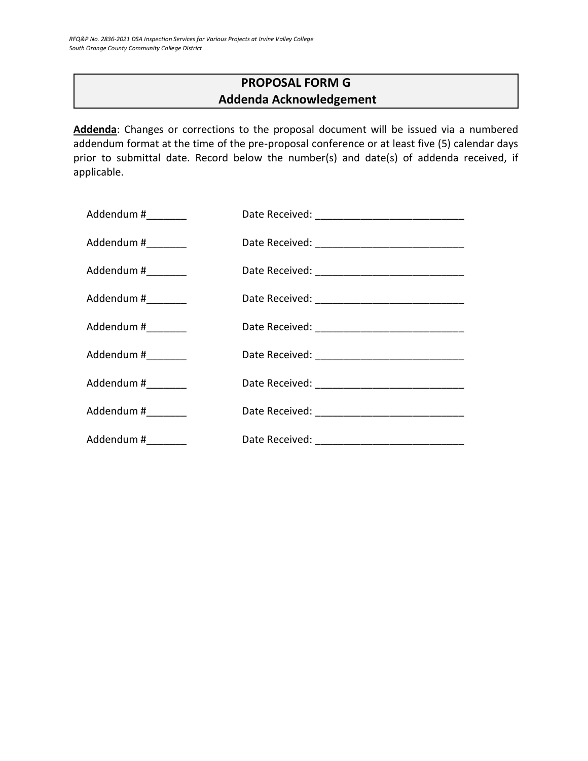### **PROPOSAL FORM G Addenda Acknowledgement**

<span id="page-27-0"></span>**Addenda**: Changes or corrections to the proposal document will be issued via a numbered addendum format at the time of the pre-proposal conference or at least five (5) calendar days prior to submittal date. Record below the number(s) and date(s) of addenda received, if applicable.

| Addendum #_________ |  |
|---------------------|--|
| Addendum #_________ |  |
| Addendum #________  |  |
| Addendum #_________ |  |
| Addendum #          |  |
| Addendum #________  |  |
| Addendum #________  |  |
| Addendum #          |  |
| Addendum #_________ |  |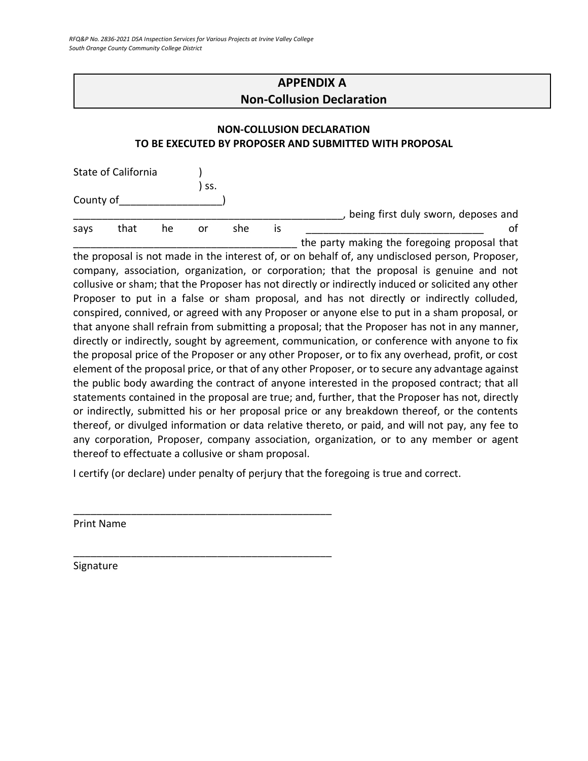### **APPENDIX A Non-Collusion Declaration**

#### <span id="page-28-0"></span>**NON-COLLUSION DECLARATION TO BE EXECUTED BY PROPOSER AND SUBMITTED WITH PROPOSAL**

|           | State of California |    |     |     |    |                                              |
|-----------|---------------------|----|-----|-----|----|----------------------------------------------|
|           |                     |    | SS. |     |    |                                              |
| County of |                     |    |     |     |    |                                              |
|           |                     |    |     |     |    | being first duly sworn, deposes and          |
| says      | that                | he | or  | she | IS |                                              |
|           |                     |    |     |     |    | the party making the foregoing proposal that |

the proposal is not made in the interest of, or on behalf of, any undisclosed person, Proposer, company, association, organization, or corporation; that the proposal is genuine and not collusive or sham; that the Proposer has not directly or indirectly induced or solicited any other Proposer to put in a false or sham proposal, and has not directly or indirectly colluded, conspired, connived, or agreed with any Proposer or anyone else to put in a sham proposal, or that anyone shall refrain from submitting a proposal; that the Proposer has not in any manner, directly or indirectly, sought by agreement, communication, or conference with anyone to fix the proposal price of the Proposer or any other Proposer, or to fix any overhead, profit, or cost element of the proposal price, or that of any other Proposer, or to secure any advantage against the public body awarding the contract of anyone interested in the proposed contract; that all statements contained in the proposal are true; and, further, that the Proposer has not, directly or indirectly, submitted his or her proposal price or any breakdown thereof, or the contents thereof, or divulged information or data relative thereto, or paid, and will not pay, any fee to any corporation, Proposer, company association, organization, or to any member or agent thereof to effectuate a collusive or sham proposal.

I certify (or declare) under penalty of perjury that the foregoing is true and correct.

\_\_\_\_\_\_\_\_\_\_\_\_\_\_\_\_\_\_\_\_\_\_\_\_\_\_\_\_\_\_\_\_\_\_\_\_\_\_\_\_\_\_\_\_\_

\_\_\_\_\_\_\_\_\_\_\_\_\_\_\_\_\_\_\_\_\_\_\_\_\_\_\_\_\_\_\_\_\_\_\_\_\_\_\_\_\_\_\_\_\_

Print Name

Signature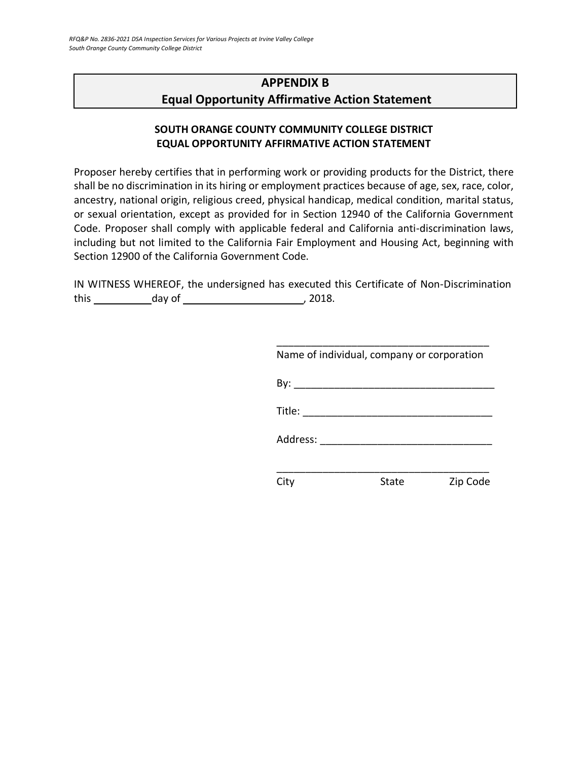### <span id="page-29-0"></span>**APPENDIX B Equal Opportunity Affirmative Action Statement**

#### **SOUTH ORANGE COUNTY COMMUNITY COLLEGE DISTRICT EQUAL OPPORTUNITY AFFIRMATIVE ACTION STATEMENT**

Proposer hereby certifies that in performing work or providing products for the District, there shall be no discrimination in its hiring or employment practices because of age, sex, race, color, ancestry, national origin, religious creed, physical handicap, medical condition, marital status, or sexual orientation, except as provided for in Section 12940 of the California Government Code. Proposer shall comply with applicable federal and California anti-discrimination laws, including but not limited to the California Fair Employment and Housing Act, beginning with Section 12900 of the California Government Code.

IN WITNESS WHEREOF, the undersigned has executed this Certificate of Non-Discrimination this day of , 2018.

| Name of individual, company or corporation |       |          |
|--------------------------------------------|-------|----------|
|                                            |       |          |
| Title: $\qquad \qquad \qquad$              |       |          |
| Address: ________                          |       |          |
|                                            |       |          |
|                                            | State | Zip Code |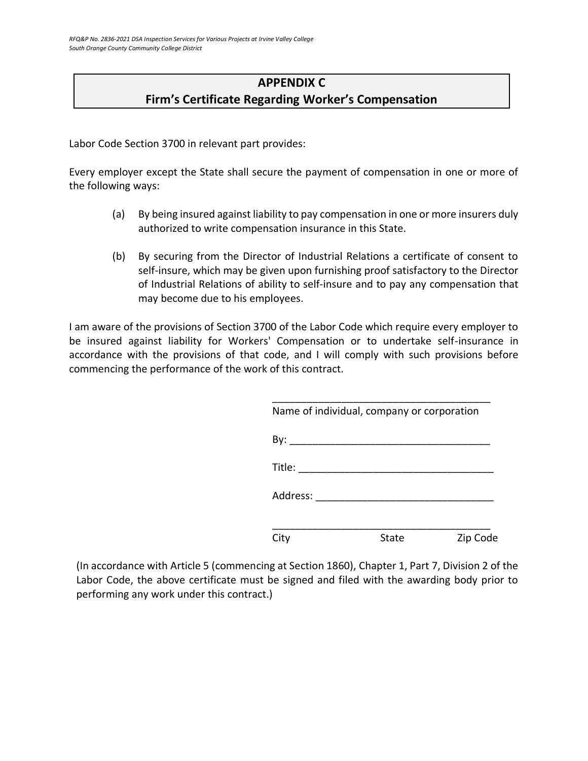### **APPENDIX C Firm's Certificate Regarding Worker's Compensation**

<span id="page-30-0"></span>Labor Code Section 3700 in relevant part provides:

Every employer except the State shall secure the payment of compensation in one or more of the following ways:

- (a) By being insured against liability to pay compensation in one or more insurers duly authorized to write compensation insurance in this State.
- (b) By securing from the Director of Industrial Relations a certificate of consent to self-insure, which may be given upon furnishing proof satisfactory to the Director of Industrial Relations of ability to self-insure and to pay any compensation that may become due to his employees.

I am aware of the provisions of Section 3700 of the Labor Code which require every employer to be insured against liability for Workers' Compensation or to undertake self-insurance in accordance with the provisions of that code, and I will comply with such provisions before commencing the performance of the work of this contract.

|      | Name of individual, company or corporation |          |
|------|--------------------------------------------|----------|
|      |                                            |          |
|      |                                            |          |
|      |                                            |          |
| City | State                                      | Zip Code |

(In accordance with Article 5 (commencing at Section 1860), Chapter 1, Part 7, Division 2 of the Labor Code, the above certificate must be signed and filed with the awarding body prior to performing any work under this contract.)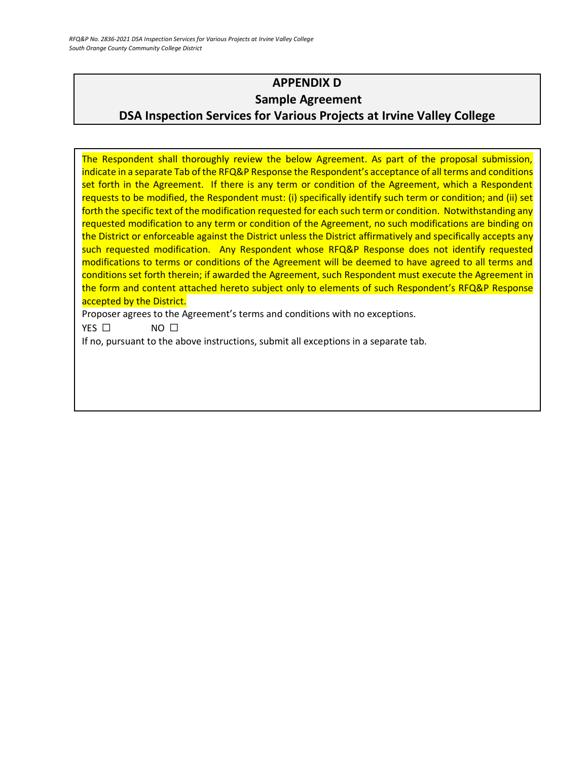### <span id="page-31-0"></span>**APPENDIX D Sample Agreement DSA Inspection Services for Various Projects at Irvine Valley College**

The Respondent shall thoroughly review the below Agreement. As part of the proposal submission, indicate in a separate Tab of the RFQ&P Response the Respondent's acceptance of all terms and conditions set forth in the Agreement. If there is any term or condition of the Agreement, which a Respondent requests to be modified, the Respondent must: (i) specifically identify such term or condition; and (ii) set forth the specific text of the modification requested for each such term or condition. Notwithstanding any requested modification to any term or condition of the Agreement, no such modifications are binding on the District or enforceable against the District unless the District affirmatively and specifically accepts any such requested modification. Any Respondent whose RFQ&P Response does not identify requested modifications to terms or conditions of the Agreement will be deemed to have agreed to all terms and conditions set forth therein; if awarded the Agreement, such Respondent must execute the Agreement in the form and content attached hereto subject only to elements of such Respondent's RFQ&P Response accepted by the District.

Proposer agrees to the Agreement's terms and conditions with no exceptions.

YES □ NO □

If no, pursuant to the above instructions, submit all exceptions in a separate tab.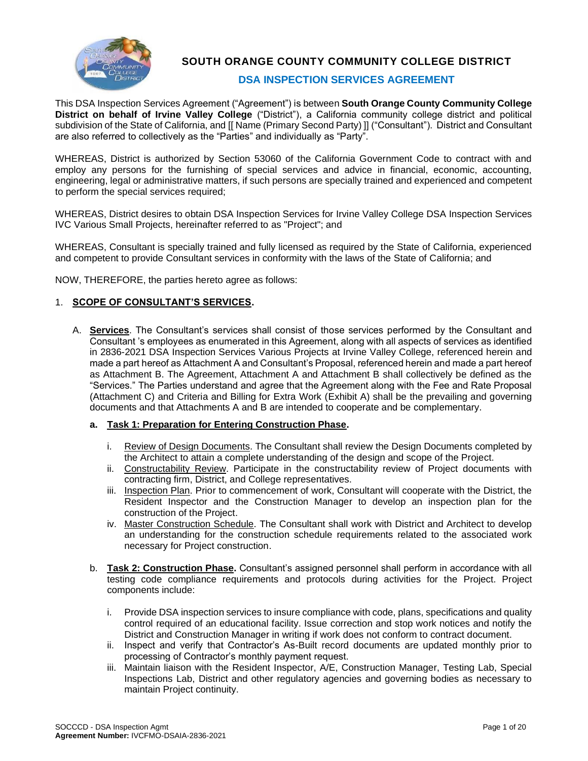

**SOUTH ORANGE COUNTY COMMUNITY COLLEGE DISTRICT**

#### **DSA INSPECTION SERVICES AGREEMENT**

This DSA Inspection Services Agreement ("Agreement") is between **South Orange County Community College District on behalf of Irvine Valley College** ("District"), a California community college district and political subdivision of the State of California, and [[ Name (Primary Second Party) ]] ("Consultant"). District and Consultant are also referred to collectively as the "Parties" and individually as "Party".

WHEREAS, District is authorized by Section 53060 of the California Government Code to contract with and employ any persons for the furnishing of special services and advice in financial, economic, accounting, engineering, legal or administrative matters, if such persons are specially trained and experienced and competent to perform the special services required;

WHEREAS, District desires to obtain DSA Inspection Services for Irvine Valley College DSA Inspection Services IVC Various Small Projects, hereinafter referred to as "Project"; and

WHEREAS, Consultant is specially trained and fully licensed as required by the State of California, experienced and competent to provide Consultant services in conformity with the laws of the State of California; and

NOW, THEREFORE, the parties hereto agree as follows:

#### 1. **SCOPE OF CONSULTANT'S SERVICES.**

A. **Services**. The Consultant's services shall consist of those services performed by the Consultant and Consultant 's employees as enumerated in this Agreement, along with all aspects of services as identified in 2836-2021 DSA Inspection Services Various Projects at Irvine Valley College, referenced herein and made a part hereof as Attachment A and Consultant's Proposal, referenced herein and made a part hereof as Attachment B. The Agreement, Attachment A and Attachment B shall collectively be defined as the "Services." The Parties understand and agree that the Agreement along with the Fee and Rate Proposal (Attachment C) and Criteria and Billing for Extra Work (Exhibit A) shall be the prevailing and governing documents and that Attachments A and B are intended to cooperate and be complementary.

#### **a. Task 1: Preparation for Entering Construction Phase.**

- i. Review of Design Documents. The Consultant shall review the Design Documents completed by the Architect to attain a complete understanding of the design and scope of the Project.
- ii. Constructability Review. Participate in the constructability review of Project documents with contracting firm, District, and College representatives.
- iii. Inspection Plan. Prior to commencement of work, Consultant will cooperate with the District, the Resident Inspector and the Construction Manager to develop an inspection plan for the construction of the Project.
- iv. Master Construction Schedule. The Consultant shall work with District and Architect to develop an understanding for the construction schedule requirements related to the associated work necessary for Project construction.
- b. **Task 2: Construction Phase.** Consultant's assigned personnel shall perform in accordance with all testing code compliance requirements and protocols during activities for the Project. Project components include:
	- i. Provide DSA inspection services to insure compliance with code, plans, specifications and quality control required of an educational facility. Issue correction and stop work notices and notify the District and Construction Manager in writing if work does not conform to contract document.
	- ii. Inspect and verify that Contractor's As-Built record documents are updated monthly prior to processing of Contractor's monthly payment request.
	- iii. Maintain liaison with the Resident Inspector, A/E, Construction Manager, Testing Lab, Special Inspections Lab, District and other regulatory agencies and governing bodies as necessary to maintain Project continuity.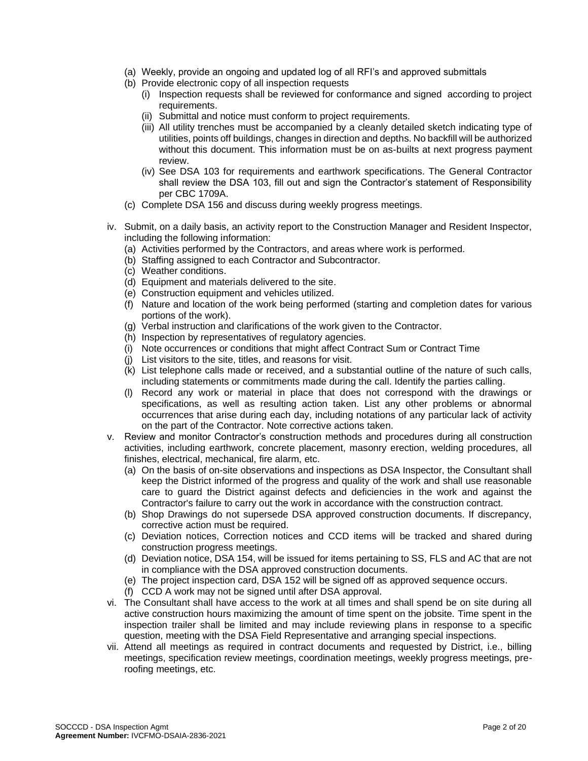- (a) Weekly, provide an ongoing and updated log of all RFI's and approved submittals
- (b) Provide electronic copy of all inspection requests
	- (i) Inspection requests shall be reviewed for conformance and signed according to project requirements.
	- (ii) Submittal and notice must conform to project requirements.
	- (iii) All utility trenches must be accompanied by a cleanly detailed sketch indicating type of utilities, points off buildings, changes in direction and depths. No backfill will be authorized without this document. This information must be on as-builts at next progress payment review.
	- (iv) See DSA 103 for requirements and earthwork specifications. The General Contractor shall review the DSA 103, fill out and sign the Contractor's statement of Responsibility per CBC 1709A.
- (c) Complete DSA 156 and discuss during weekly progress meetings.
- iv. Submit, on a daily basis, an activity report to the Construction Manager and Resident Inspector, including the following information:
	- (a) Activities performed by the Contractors, and areas where work is performed.
	- (b) Staffing assigned to each Contractor and Subcontractor.
	- (c) Weather conditions.
	- (d) Equipment and materials delivered to the site.
	- (e) Construction equipment and vehicles utilized.
	- (f) Nature and location of the work being performed (starting and completion dates for various portions of the work).
	- (g) Verbal instruction and clarifications of the work given to the Contractor.
	- (h) Inspection by representatives of regulatory agencies.
	- (i) Note occurrences or conditions that might affect Contract Sum or Contract Time
	- (j) List visitors to the site, titles, and reasons for visit.
	- (k) List telephone calls made or received, and a substantial outline of the nature of such calls, including statements or commitments made during the call. Identify the parties calling.
	- (l) Record any work or material in place that does not correspond with the drawings or specifications, as well as resulting action taken. List any other problems or abnormal occurrences that arise during each day, including notations of any particular lack of activity on the part of the Contractor. Note corrective actions taken.
- v. Review and monitor Contractor's construction methods and procedures during all construction activities, including earthwork, concrete placement, masonry erection, welding procedures, all finishes, electrical, mechanical, fire alarm, etc.
	- (a) On the basis of on-site observations and inspections as DSA Inspector, the Consultant shall keep the District informed of the progress and quality of the work and shall use reasonable care to guard the District against defects and deficiencies in the work and against the Contractor's failure to carry out the work in accordance with the construction contract.
	- (b) Shop Drawings do not supersede DSA approved construction documents. If discrepancy, corrective action must be required.
	- (c) Deviation notices, Correction notices and CCD items will be tracked and shared during construction progress meetings.
	- (d) Deviation notice, DSA 154, will be issued for items pertaining to SS, FLS and AC that are not in compliance with the DSA approved construction documents.
	- (e) The project inspection card, DSA 152 will be signed off as approved sequence occurs.
	- (f) CCD A work may not be signed until after DSA approval.
- vi. The Consultant shall have access to the work at all times and shall spend be on site during all active construction hours maximizing the amount of time spent on the jobsite. Time spent in the inspection trailer shall be limited and may include reviewing plans in response to a specific question, meeting with the DSA Field Representative and arranging special inspections.
- vii. Attend all meetings as required in contract documents and requested by District, i.e., billing meetings, specification review meetings, coordination meetings, weekly progress meetings, preroofing meetings, etc.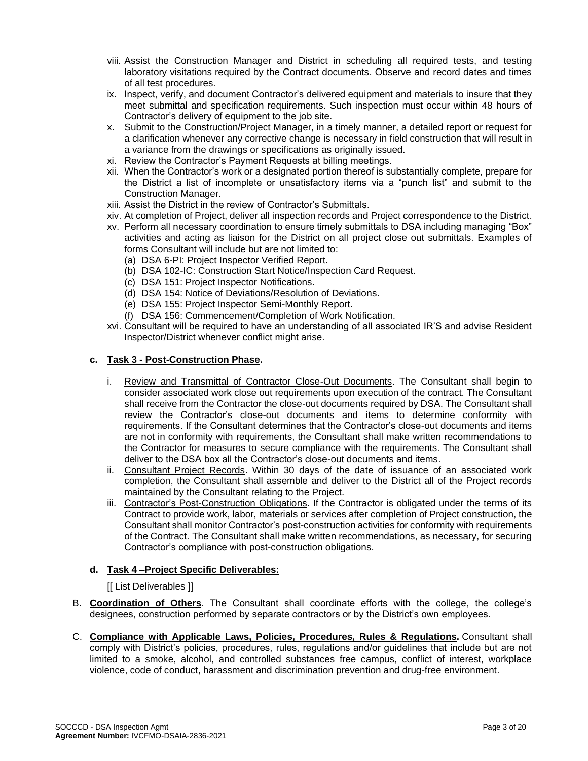- viii. Assist the Construction Manager and District in scheduling all required tests, and testing laboratory visitations required by the Contract documents. Observe and record dates and times of all test procedures.
- ix. Inspect, verify, and document Contractor's delivered equipment and materials to insure that they meet submittal and specification requirements. Such inspection must occur within 48 hours of Contractor's delivery of equipment to the job site.
- x. Submit to the Construction/Project Manager, in a timely manner, a detailed report or request for a clarification whenever any corrective change is necessary in field construction that will result in a variance from the drawings or specifications as originally issued.
- xi. Review the Contractor's Payment Requests at billing meetings.
- xii. When the Contractor's work or a designated portion thereof is substantially complete, prepare for the District a list of incomplete or unsatisfactory items via a "punch list" and submit to the Construction Manager.
- xiii. Assist the District in the review of Contractor's Submittals.
- xiv. At completion of Project, deliver all inspection records and Project correspondence to the District.
- xv. Perform all necessary coordination to ensure timely submittals to DSA including managing "Box" activities and acting as liaison for the District on all project close out submittals. Examples of forms Consultant will include but are not limited to:
	- (a) DSA 6-PI: Project Inspector Verified Report.
	- (b) DSA 102-IC: Construction Start Notice/Inspection Card Request.
	- (c) DSA 151: Project Inspector Notifications.
	- (d) DSA 154: Notice of Deviations/Resolution of Deviations.
	- (e) DSA 155: Project Inspector Semi-Monthly Report.
	- (f) DSA 156: Commencement/Completion of Work Notification.
- xvi. Consultant will be required to have an understanding of all associated IR'S and advise Resident Inspector/District whenever conflict might arise.

#### **c. Task 3 - Post-Construction Phase.**

- i. Review and Transmittal of Contractor Close-Out Documents. The Consultant shall begin to consider associated work close out requirements upon execution of the contract. The Consultant shall receive from the Contractor the close-out documents required by DSA. The Consultant shall review the Contractor's close-out documents and items to determine conformity with requirements. If the Consultant determines that the Contractor's close-out documents and items are not in conformity with requirements, the Consultant shall make written recommendations to the Contractor for measures to secure compliance with the requirements. The Consultant shall deliver to the DSA box all the Contractor's close-out documents and items.
- ii. Consultant Project Records. Within 30 days of the date of issuance of an associated work completion, the Consultant shall assemble and deliver to the District all of the Project records maintained by the Consultant relating to the Project.
- iii. Contractor's Post-Construction Obligations. If the Contractor is obligated under the terms of its Contract to provide work, labor, materials or services after completion of Project construction, the Consultant shall monitor Contractor's post-construction activities for conformity with requirements of the Contract. The Consultant shall make written recommendations, as necessary, for securing Contractor's compliance with post-construction obligations.

#### **d. Task 4 –Project Specific Deliverables:**

#### [[ List Deliverables ]]

- B. **Coordination of Others**. The Consultant shall coordinate efforts with the college, the college's designees, construction performed by separate contractors or by the District's own employees.
- C. **Compliance with Applicable Laws, Policies, Procedures, Rules & Regulations.** Consultant shall comply with District's policies, procedures, rules, regulations and/or guidelines that include but are not limited to a smoke, alcohol, and controlled substances free campus, conflict of interest, workplace violence, code of conduct, harassment and discrimination prevention and drug-free environment.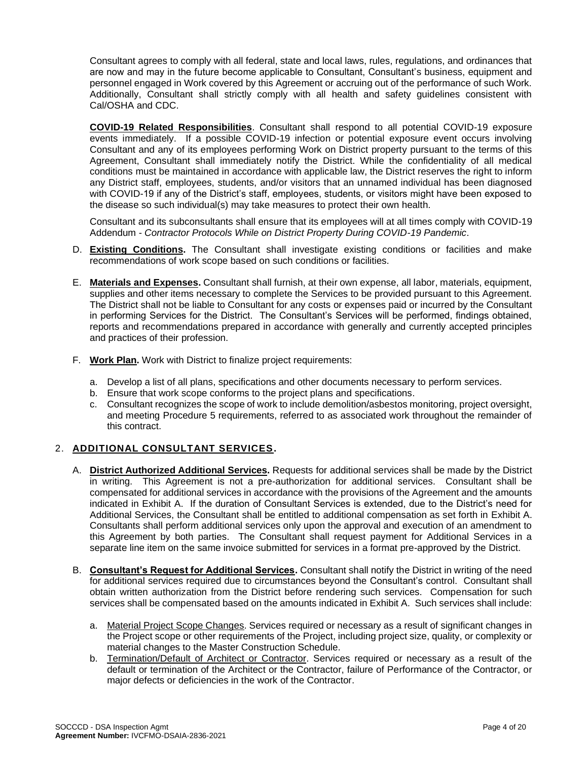Consultant agrees to comply with all federal, state and local laws, rules, regulations, and ordinances that are now and may in the future become applicable to Consultant, Consultant's business, equipment and personnel engaged in Work covered by this Agreement or accruing out of the performance of such Work. Additionally, Consultant shall strictly comply with all health and safety guidelines consistent with Cal/OSHA and CDC.

**COVID-19 Related Responsibilities**. Consultant shall respond to all potential COVID-19 exposure events immediately. If a possible COVID-19 infection or potential exposure event occurs involving Consultant and any of its employees performing Work on District property pursuant to the terms of this Agreement, Consultant shall immediately notify the District. While the confidentiality of all medical conditions must be maintained in accordance with applicable law, the District reserves the right to inform any District staff, employees, students, and/or visitors that an unnamed individual has been diagnosed with COVID-19 if any of the District's staff, employees, students, or visitors might have been exposed to the disease so such individual(s) may take measures to protect their own health.

Consultant and its subconsultants shall ensure that its employees will at all times comply with COVID-19 Addendum - *Contractor Protocols While on District Property During COVID-19 Pandemic*.

- D. **Existing Conditions.** The Consultant shall investigate existing conditions or facilities and make recommendations of work scope based on such conditions or facilities.
- E. **Materials and Expenses.** Consultant shall furnish, at their own expense, all labor, materials, equipment, supplies and other items necessary to complete the Services to be provided pursuant to this Agreement. The District shall not be liable to Consultant for any costs or expenses paid or incurred by the Consultant in performing Services for the District. The Consultant's Services will be performed, findings obtained, reports and recommendations prepared in accordance with generally and currently accepted principles and practices of their profession.
- F. **Work Plan.** Work with District to finalize project requirements:
	- a. Develop a list of all plans, specifications and other documents necessary to perform services.
	- b. Ensure that work scope conforms to the project plans and specifications.
	- c. Consultant recognizes the scope of work to include demolition/asbestos monitoring, project oversight, and meeting Procedure 5 requirements, referred to as associated work throughout the remainder of this contract.

#### 2. **ADDITIONAL CONSULTANT SERVICES.**

- A. **District Authorized Additional Services.** Requests for additional services shall be made by the District in writing. This Agreement is not a pre-authorization for additional services. Consultant shall be compensated for additional services in accordance with the provisions of the Agreement and the amounts indicated in Exhibit A. If the duration of Consultant Services is extended, due to the District's need for Additional Services, the Consultant shall be entitled to additional compensation as set forth in Exhibit A. Consultants shall perform additional services only upon the approval and execution of an amendment to this Agreement by both parties. The Consultant shall request payment for Additional Services in a separate line item on the same invoice submitted for services in a format pre-approved by the District.
- B. **Consultant's Request for Additional Services.** Consultant shall notify the District in writing of the need for additional services required due to circumstances beyond the Consultant's control. Consultant shall obtain written authorization from the District before rendering such services. Compensation for such services shall be compensated based on the amounts indicated in Exhibit A. Such services shall include:
	- a. Material Project Scope Changes. Services required or necessary as a result of significant changes in the Project scope or other requirements of the Project, including project size, quality, or complexity or material changes to the Master Construction Schedule.
	- b. Termination/Default of Architect or Contractor. Services required or necessary as a result of the default or termination of the Architect or the Contractor, failure of Performance of the Contractor, or major defects or deficiencies in the work of the Contractor.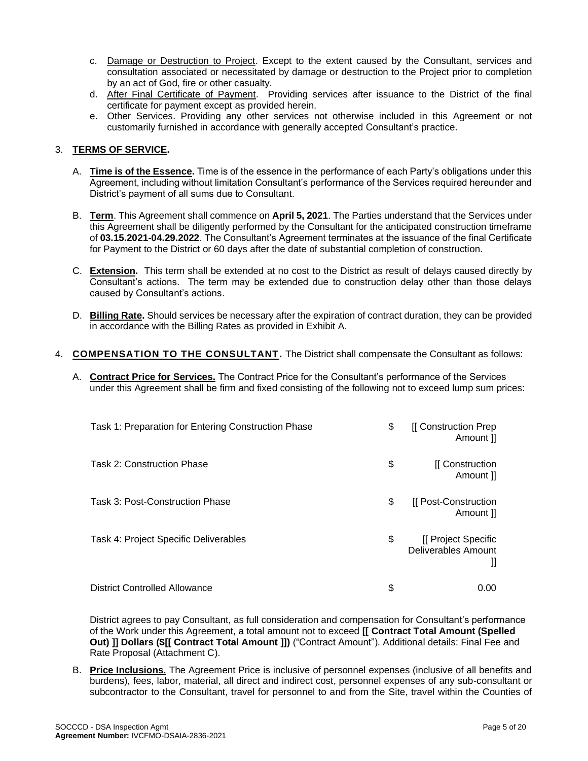- c. Damage or Destruction to Project. Except to the extent caused by the Consultant, services and consultation associated or necessitated by damage or destruction to the Project prior to completion by an act of God, fire or other casualty.
- d. After Final Certificate of Payment. Providing services after issuance to the District of the final certificate for payment except as provided herein.
- e. Other Services. Providing any other services not otherwise included in this Agreement or not customarily furnished in accordance with generally accepted Consultant's practice.

#### 3. **TERMS OF SERVICE.**

- A. **Time is of the Essence.** Time is of the essence in the performance of each Party's obligations under this Agreement, including without limitation Consultant's performance of the Services required hereunder and District's payment of all sums due to Consultant.
- B. **Term**. This Agreement shall commence on **April 5, 2021**. The Parties understand that the Services under this Agreement shall be diligently performed by the Consultant for the anticipated construction timeframe of **03.15.2021-04.29.2022**. The Consultant's Agreement terminates at the issuance of the final Certificate for Payment to the District or 60 days after the date of substantial completion of construction.
- C. **Extension.** This term shall be extended at no cost to the District as result of delays caused directly by Consultant's actions. The term may be extended due to construction delay other than those delays caused by Consultant's actions.
- D. **Billing Rate.** Should services be necessary after the expiration of contract duration, they can be provided in accordance with the Billing Rates as provided in Exhibit A.
- 4. **COMPENSATION TO THE CONSULTANT.** The District shall compensate the Consultant as follows:
	- A. **Contract Price for Services.** The Contract Price for the Consultant's performance of the Services under this Agreement shall be firm and fixed consisting of the following not to exceed lump sum prices:

| Task 1: Preparation for Entering Construction Phase | \$<br>[[ Construction Prep<br>Amount ]]               |
|-----------------------------------------------------|-------------------------------------------------------|
| Task 2: Construction Phase                          | \$<br>[[ Construction<br>Amount ]]                    |
| Task 3: Post-Construction Phase                     | \$<br>[[ Post-Construction<br>Amount II               |
| Task 4: Project Specific Deliverables               | \$<br>[[ Project Specific<br>Deliverables Amount<br>Ш |
| <b>District Controlled Allowance</b>                | \$<br>0.00                                            |

District agrees to pay Consultant, as full consideration and compensation for Consultant's performance of the Work under this Agreement, a total amount not to exceed **[[ Contract Total Amount (Spelled Out) ]] Dollars (\$[[ Contract Total Amount ]])** ("Contract Amount"). Additional details: Final Fee and Rate Proposal (Attachment C).

B. **Price Inclusions.** The Agreement Price is inclusive of personnel expenses (inclusive of all benefits and burdens), fees, labor, material, all direct and indirect cost, personnel expenses of any sub-consultant or subcontractor to the Consultant, travel for personnel to and from the Site, travel within the Counties of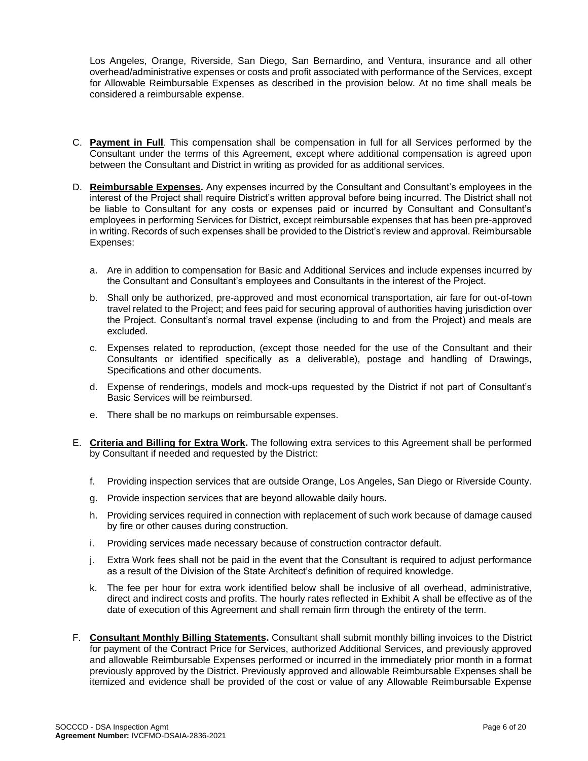Los Angeles, Orange, Riverside, San Diego, San Bernardino, and Ventura, insurance and all other overhead/administrative expenses or costs and profit associated with performance of the Services, except for Allowable Reimbursable Expenses as described in the provision below. At no time shall meals be considered a reimbursable expense.

- C. **Payment in Full**. This compensation shall be compensation in full for all Services performed by the Consultant under the terms of this Agreement, except where additional compensation is agreed upon between the Consultant and District in writing as provided for as additional services.
- D. **Reimbursable Expenses.** Any expenses incurred by the Consultant and Consultant's employees in the interest of the Project shall require District's written approval before being incurred. The District shall not be liable to Consultant for any costs or expenses paid or incurred by Consultant and Consultant's employees in performing Services for District, except reimbursable expenses that has been pre-approved in writing. Records of such expenses shall be provided to the District's review and approval. Reimbursable Expenses:
	- a. Are in addition to compensation for Basic and Additional Services and include expenses incurred by the Consultant and Consultant's employees and Consultants in the interest of the Project.
	- b. Shall only be authorized, pre-approved and most economical transportation, air fare for out-of-town travel related to the Project; and fees paid for securing approval of authorities having jurisdiction over the Project. Consultant's normal travel expense (including to and from the Project) and meals are excluded.
	- c. Expenses related to reproduction, (except those needed for the use of the Consultant and their Consultants or identified specifically as a deliverable), postage and handling of Drawings, Specifications and other documents.
	- d. Expense of renderings, models and mock-ups requested by the District if not part of Consultant's Basic Services will be reimbursed.
	- e. There shall be no markups on reimbursable expenses.
- E. **Criteria and Billing for Extra Work.** The following extra services to this Agreement shall be performed by Consultant if needed and requested by the District:
	- f. Providing inspection services that are outside Orange, Los Angeles, San Diego or Riverside County.
	- g. Provide inspection services that are beyond allowable daily hours.
	- h. Providing services required in connection with replacement of such work because of damage caused by fire or other causes during construction.
	- i. Providing services made necessary because of construction contractor default.
	- j. Extra Work fees shall not be paid in the event that the Consultant is required to adjust performance as a result of the Division of the State Architect's definition of required knowledge.
	- k. The fee per hour for extra work identified below shall be inclusive of all overhead, administrative, direct and indirect costs and profits. The hourly rates reflected in Exhibit A shall be effective as of the date of execution of this Agreement and shall remain firm through the entirety of the term.
- F. **Consultant Monthly Billing Statements.** Consultant shall submit monthly billing invoices to the District for payment of the Contract Price for Services, authorized Additional Services, and previously approved and allowable Reimbursable Expenses performed or incurred in the immediately prior month in a format previously approved by the District. Previously approved and allowable Reimbursable Expenses shall be itemized and evidence shall be provided of the cost or value of any Allowable Reimbursable Expense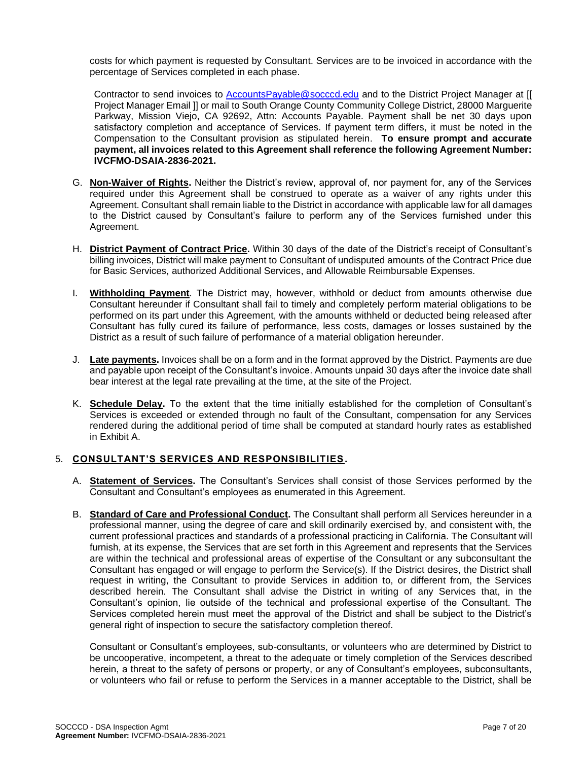costs for which payment is requested by Consultant. Services are to be invoiced in accordance with the percentage of Services completed in each phase.

Contractor to send invoices to [AccountsPayable@socccd.edu](mailto:AccountsPayable@socccd.edu) and to the District Project Manager at [[ Project Manager Email ]] or mail to South Orange County Community College District, 28000 Marguerite Parkway, Mission Viejo, CA 92692, Attn: Accounts Payable. Payment shall be net 30 days upon satisfactory completion and acceptance of Services. If payment term differs, it must be noted in the Compensation to the Consultant provision as stipulated herein. **To ensure prompt and accurate payment, all invoices related to this Agreement shall reference the following Agreement Number: IVCFMO-DSAIA-2836-2021.**

- G. **Non-Waiver of Rights.** Neither the District's review, approval of, nor payment for, any of the Services required under this Agreement shall be construed to operate as a waiver of any rights under this Agreement. Consultant shall remain liable to the District in accordance with applicable law for all damages to the District caused by Consultant's failure to perform any of the Services furnished under this Agreement.
- H. **District Payment of Contract Price.** Within 30 days of the date of the District's receipt of Consultant's billing invoices, District will make payment to Consultant of undisputed amounts of the Contract Price due for Basic Services, authorized Additional Services, and Allowable Reimbursable Expenses.
- I. **Withholding Payment**. The District may, however, withhold or deduct from amounts otherwise due Consultant hereunder if Consultant shall fail to timely and completely perform material obligations to be performed on its part under this Agreement, with the amounts withheld or deducted being released after Consultant has fully cured its failure of performance, less costs, damages or losses sustained by the District as a result of such failure of performance of a material obligation hereunder.
- J. **Late payments.** Invoices shall be on a form and in the format approved by the District. Payments are due and payable upon receipt of the Consultant's invoice. Amounts unpaid 30 days after the invoice date shall bear interest at the legal rate prevailing at the time, at the site of the Project.
- K. **Schedule Delay.** To the extent that the time initially established for the completion of Consultant's Services is exceeded or extended through no fault of the Consultant, compensation for any Services rendered during the additional period of time shall be computed at standard hourly rates as established in Exhibit A.

#### 5. **CONSULTANT'S SERVICES AND RESPONSIBILITIES.**

- A. **Statement of Services.** The Consultant's Services shall consist of those Services performed by the Consultant and Consultant's employees as enumerated in this Agreement.
- B. **Standard of Care and Professional Conduct.** The Consultant shall perform all Services hereunder in a professional manner, using the degree of care and skill ordinarily exercised by, and consistent with, the current professional practices and standards of a professional practicing in California. The Consultant will furnish, at its expense, the Services that are set forth in this Agreement and represents that the Services are within the technical and professional areas of expertise of the Consultant or any subconsultant the Consultant has engaged or will engage to perform the Service(s). If the District desires, the District shall request in writing, the Consultant to provide Services in addition to, or different from, the Services described herein. The Consultant shall advise the District in writing of any Services that, in the Consultant's opinion, lie outside of the technical and professional expertise of the Consultant. The Services completed herein must meet the approval of the District and shall be subject to the District's general right of inspection to secure the satisfactory completion thereof.

Consultant or Consultant's employees, sub-consultants, or volunteers who are determined by District to be uncooperative, incompetent, a threat to the adequate or timely completion of the Services described herein, a threat to the safety of persons or property, or any of Consultant's employees, subconsultants, or volunteers who fail or refuse to perform the Services in a manner acceptable to the District, shall be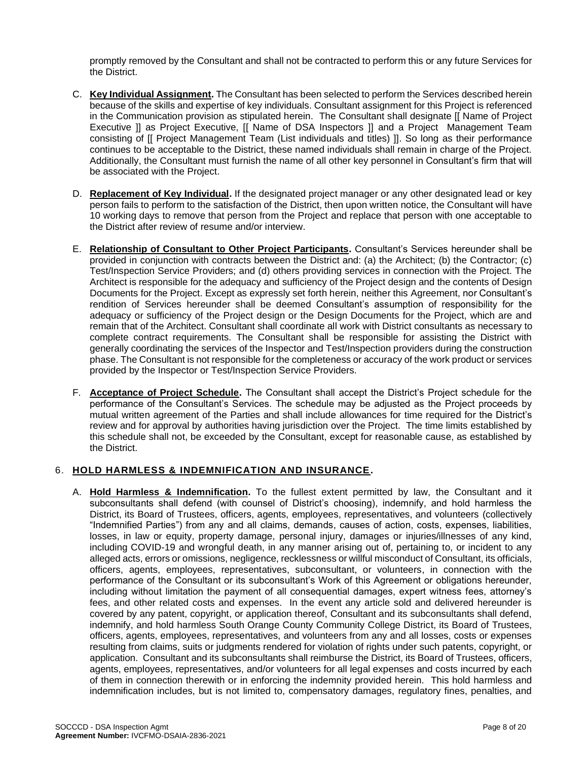promptly removed by the Consultant and shall not be contracted to perform this or any future Services for the District.

- C. **Key Individual Assignment.** The Consultant has been selected to perform the Services described herein because of the skills and expertise of key individuals. Consultant assignment for this Project is referenced in the Communication provision as stipulated herein. The Consultant shall designate [[ Name of Project Executive ]] as Project Executive, [[ Name of DSA Inspectors ]] and a Project Management Team consisting of [[ Project Management Team (List individuals and titles) ]]. So long as their performance continues to be acceptable to the District, these named individuals shall remain in charge of the Project. Additionally, the Consultant must furnish the name of all other key personnel in Consultant's firm that will be associated with the Project.
- D. **Replacement of Key Individual.** If the designated project manager or any other designated lead or key person fails to perform to the satisfaction of the District, then upon written notice, the Consultant will have 10 working days to remove that person from the Project and replace that person with one acceptable to the District after review of resume and/or interview.
- E. **Relationship of Consultant to Other Project Participants.** Consultant's Services hereunder shall be provided in conjunction with contracts between the District and: (a) the Architect; (b) the Contractor; (c) Test/Inspection Service Providers; and (d) others providing services in connection with the Project. The Architect is responsible for the adequacy and sufficiency of the Project design and the contents of Design Documents for the Project. Except as expressly set forth herein, neither this Agreement, nor Consultant's rendition of Services hereunder shall be deemed Consultant's assumption of responsibility for the adequacy or sufficiency of the Project design or the Design Documents for the Project, which are and remain that of the Architect. Consultant shall coordinate all work with District consultants as necessary to complete contract requirements. The Consultant shall be responsible for assisting the District with generally coordinating the services of the Inspector and Test/Inspection providers during the construction phase. The Consultant is not responsible for the completeness or accuracy of the work product or services provided by the Inspector or Test/Inspection Service Providers.
- F. **Acceptance of Project Schedule.** The Consultant shall accept the District's Project schedule for the performance of the Consultant's Services. The schedule may be adjusted as the Project proceeds by mutual written agreement of the Parties and shall include allowances for time required for the District's review and for approval by authorities having jurisdiction over the Project. The time limits established by this schedule shall not, be exceeded by the Consultant, except for reasonable cause, as established by the District.

#### 6. **HOLD HARMLESS & INDEMNIFICATION AND INSURANCE.**

A. **Hold Harmless & Indemnification.** To the fullest extent permitted by law, the Consultant and it subconsultants shall defend (with counsel of District's choosing), indemnify, and hold harmless the District, its Board of Trustees, officers, agents, employees, representatives, and volunteers (collectively "Indemnified Parties") from any and all claims, demands, causes of action, costs, expenses, liabilities, losses, in law or equity, property damage, personal injury, damages or injuries/illnesses of any kind, including COVID-19 and wrongful death, in any manner arising out of, pertaining to, or incident to any alleged acts, errors or omissions, negligence, recklessness or willful misconduct of Consultant, its officials, officers, agents, employees, representatives, subconsultant, or volunteers, in connection with the performance of the Consultant or its subconsultant's Work of this Agreement or obligations hereunder, including without limitation the payment of all consequential damages, expert witness fees, attorney's fees, and other related costs and expenses. In the event any article sold and delivered hereunder is covered by any patent, copyright, or application thereof, Consultant and its subconsultants shall defend, indemnify, and hold harmless South Orange County Community College District, its Board of Trustees, officers, agents, employees, representatives, and volunteers from any and all losses, costs or expenses resulting from claims, suits or judgments rendered for violation of rights under such patents, copyright, or application. Consultant and its subconsultants shall reimburse the District, its Board of Trustees, officers, agents, employees, representatives, and/or volunteers for all legal expenses and costs incurred by each of them in connection therewith or in enforcing the indemnity provided herein. This hold harmless and indemnification includes, but is not limited to, compensatory damages, regulatory fines, penalties, and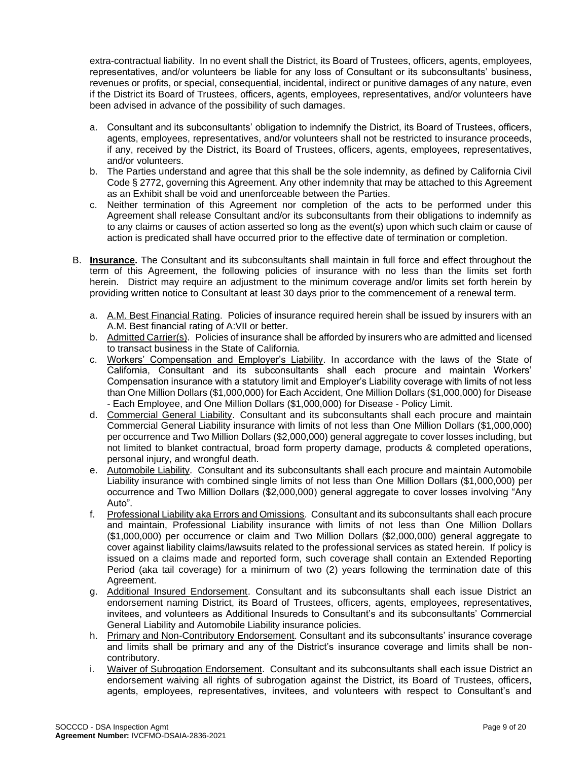extra-contractual liability. In no event shall the District, its Board of Trustees, officers, agents, employees, representatives, and/or volunteers be liable for any loss of Consultant or its subconsultants' business, revenues or profits, or special, consequential, incidental, indirect or punitive damages of any nature, even if the District its Board of Trustees, officers, agents, employees, representatives, and/or volunteers have been advised in advance of the possibility of such damages.

- a. Consultant and its subconsultants' obligation to indemnify the District, its Board of Trustees, officers, agents, employees, representatives, and/or volunteers shall not be restricted to insurance proceeds, if any, received by the District, its Board of Trustees, officers, agents, employees, representatives, and/or volunteers.
- b. The Parties understand and agree that this shall be the sole indemnity, as defined by California Civil Code § 2772, governing this Agreement. Any other indemnity that may be attached to this Agreement as an Exhibit shall be void and unenforceable between the Parties.
- c. Neither termination of this Agreement nor completion of the acts to be performed under this Agreement shall release Consultant and/or its subconsultants from their obligations to indemnify as to any claims or causes of action asserted so long as the event(s) upon which such claim or cause of action is predicated shall have occurred prior to the effective date of termination or completion.
- B. **Insurance.** The Consultant and its subconsultants shall maintain in full force and effect throughout the term of this Agreement, the following policies of insurance with no less than the limits set forth herein. District may require an adjustment to the minimum coverage and/or limits set forth herein by providing written notice to Consultant at least 30 days prior to the commencement of a renewal term.
	- a. A.M. Best Financial Rating.Policies of insurance required herein shall be issued by insurers with an A.M. Best financial rating of A:VII or better.
	- b. Admitted Carrier(s). Policies of insurance shall be afforded by insurers who are admitted and licensed to transact business in the State of California.
	- c. Workers' Compensation and Employer's Liability.In accordance with the laws of the State of California, Consultant and its subconsultants shall each procure and maintain Workers' Compensation insurance with a statutory limit and Employer's Liability coverage with limits of not less than One Million Dollars (\$1,000,000) for Each Accident, One Million Dollars (\$1,000,000) for Disease - Each Employee, and One Million Dollars (\$1,000,000) for Disease - Policy Limit.
	- d. Commercial General Liability. Consultant and its subconsultants shall each procure and maintain Commercial General Liability insurance with limits of not less than One Million Dollars (\$1,000,000) per occurrence and Two Million Dollars (\$2,000,000) general aggregate to cover losses including, but not limited to blanket contractual, broad form property damage, products & completed operations, personal injury, and wrongful death.
	- e. Automobile Liability. Consultant and its subconsultants shall each procure and maintain Automobile Liability insurance with combined single limits of not less than One Million Dollars (\$1,000,000) per occurrence and Two Million Dollars (\$2,000,000) general aggregate to cover losses involving "Any Auto".
	- f. Professional Liability aka Errors and Omissions.Consultant and its subconsultants shall each procure and maintain, Professional Liability insurance with limits of not less than One Million Dollars (\$1,000,000) per occurrence or claim and Two Million Dollars (\$2,000,000) general aggregate to cover against liability claims/lawsuits related to the professional services as stated herein. If policy is issued on a claims made and reported form, such coverage shall contain an Extended Reporting Period (aka tail coverage) for a minimum of two (2) years following the termination date of this Agreement.
	- g. Additional Insured Endorsement. Consultant and its subconsultants shall each issue District an endorsement naming District, its Board of Trustees, officers, agents, employees, representatives, invitees, and volunteers as Additional Insureds to Consultant's and its subconsultants' Commercial General Liability and Automobile Liability insurance policies.
	- h. Primary and Non-Contributory Endorsement. Consultant and its subconsultants' insurance coverage and limits shall be primary and any of the District's insurance coverage and limits shall be noncontributory.
	- i. Waiver of Subrogation Endorsement. Consultant and its subconsultants shall each issue District an endorsement waiving all rights of subrogation against the District, its Board of Trustees, officers, agents, employees, representatives, invitees, and volunteers with respect to Consultant's and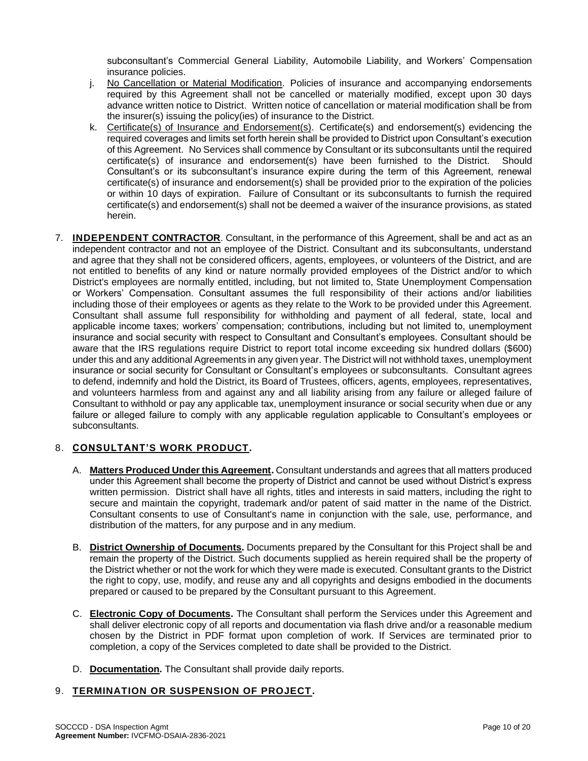subconsultant's Commercial General Liability, Automobile Liability, and Workers' Compensation insurance policies.

- j. No Cancellation or Material Modification. Policies of insurance and accompanying endorsements required by this Agreement shall not be cancelled or materially modified, except upon 30 days advance written notice to District. Written notice of cancellation or material modification shall be from the insurer(s) issuing the policy(ies) of insurance to the District.
- k. Certificate(s) of Insurance and Endorsement(s). Certificate(s) and endorsement(s) evidencing the required coverages and limits set forth herein shall be provided to District upon Consultant's execution of this Agreement. No Services shall commence by Consultant or its subconsultants until the required certificate(s) of insurance and endorsement(s) have been furnished to the District. Should Consultant's or its subconsultant's insurance expire during the term of this Agreement, renewal certificate(s) of insurance and endorsement(s) shall be provided prior to the expiration of the policies or within 10 days of expiration. Failure of Consultant or its subconsultants to furnish the required certificate(s) and endorsement(s) shall not be deemed a waiver of the insurance provisions, as stated herein.
- 7. **INDEPENDENT CONTRACTOR**. Consultant, in the performance of this Agreement, shall be and act as an independent contractor and not an employee of the District. Consultant and its subconsultants, understand and agree that they shall not be considered officers, agents, employees, or volunteers of the District, and are not entitled to benefits of any kind or nature normally provided employees of the District and/or to which District's employees are normally entitled, including, but not limited to, State Unemployment Compensation or Workers' Compensation. Consultant assumes the full responsibility of their actions and/or liabilities including those of their employees or agents as they relate to the Work to be provided under this Agreement. Consultant shall assume full responsibility for withholding and payment of all federal, state, local and applicable income taxes; workers' compensation; contributions, including but not limited to, unemployment insurance and social security with respect to Consultant and Consultant's employees. Consultant should be aware that the IRS regulations require District to report total income exceeding six hundred dollars (\$600) under this and any additional Agreements in any given year. The District will not withhold taxes, unemployment insurance or social security for Consultant or Consultant's employees or subconsultants. Consultant agrees to defend, indemnify and hold the District, its Board of Trustees, officers, agents, employees, representatives, and volunteers harmless from and against any and all liability arising from any failure or alleged failure of Consultant to withhold or pay any applicable tax, unemployment insurance or social security when due or any failure or alleged failure to comply with any applicable regulation applicable to Consultant's employees or subconsultants.

#### 8. **CONSULTANT'S WORK PRODUCT.**

- A. **Matters Produced Under this Agreement.** Consultant understands and agrees that all matters produced under this Agreement shall become the property of District and cannot be used without District's express written permission. District shall have all rights, titles and interests in said matters, including the right to secure and maintain the copyright, trademark and/or patent of said matter in the name of the District. Consultant consents to use of Consultant's name in conjunction with the sale, use, performance, and distribution of the matters, for any purpose and in any medium.
- B. **District Ownership of Documents.** Documents prepared by the Consultant for this Project shall be and remain the property of the District. Such documents supplied as herein required shall be the property of the District whether or not the work for which they were made is executed. Consultant grants to the District the right to copy, use, modify, and reuse any and all copyrights and designs embodied in the documents prepared or caused to be prepared by the Consultant pursuant to this Agreement.
- C. **Electronic Copy of Documents.** The Consultant shall perform the Services under this Agreement and shall deliver electronic copy of all reports and documentation via flash drive and/or a reasonable medium chosen by the District in PDF format upon completion of work. If Services are terminated prior to completion, a copy of the Services completed to date shall be provided to the District.
- D. **Documentation.** The Consultant shall provide daily reports.

#### 9. **TERMINATION OR SUSPENSION OF PROJECT.**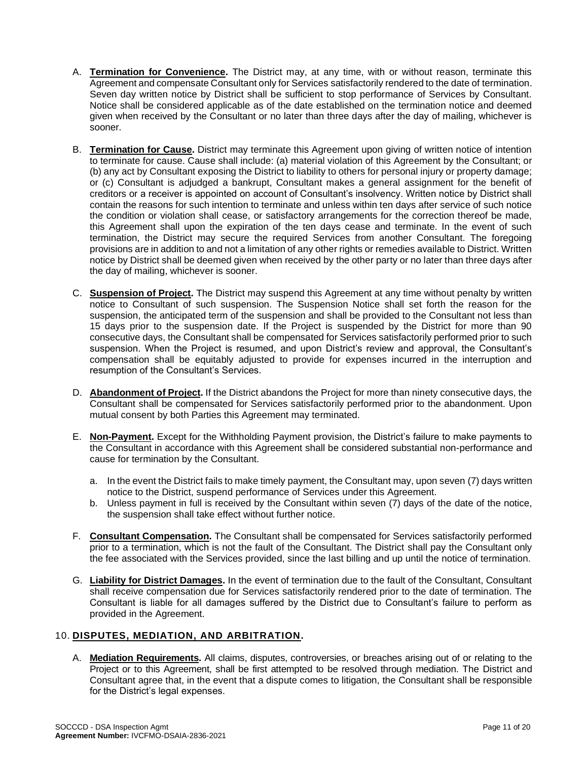- A. **Termination for Convenience.** The District may, at any time, with or without reason, terminate this Agreement and compensate Consultant only for Services satisfactorily rendered to the date of termination. Seven day written notice by District shall be sufficient to stop performance of Services by Consultant. Notice shall be considered applicable as of the date established on the termination notice and deemed given when received by the Consultant or no later than three days after the day of mailing, whichever is sooner.
- B. **Termination for Cause.** District may terminate this Agreement upon giving of written notice of intention to terminate for cause. Cause shall include: (a) material violation of this Agreement by the Consultant; or (b) any act by Consultant exposing the District to liability to others for personal injury or property damage; or (c) Consultant is adjudged a bankrupt, Consultant makes a general assignment for the benefit of creditors or a receiver is appointed on account of Consultant's insolvency. Written notice by District shall contain the reasons for such intention to terminate and unless within ten days after service of such notice the condition or violation shall cease, or satisfactory arrangements for the correction thereof be made, this Agreement shall upon the expiration of the ten days cease and terminate. In the event of such termination, the District may secure the required Services from another Consultant. The foregoing provisions are in addition to and not a limitation of any other rights or remedies available to District. Written notice by District shall be deemed given when received by the other party or no later than three days after the day of mailing, whichever is sooner.
- C. **Suspension of Project.** The District may suspend this Agreement at any time without penalty by written notice to Consultant of such suspension. The Suspension Notice shall set forth the reason for the suspension, the anticipated term of the suspension and shall be provided to the Consultant not less than 15 days prior to the suspension date. If the Project is suspended by the District for more than 90 consecutive days, the Consultant shall be compensated for Services satisfactorily performed prior to such suspension. When the Project is resumed, and upon District's review and approval, the Consultant's compensation shall be equitably adjusted to provide for expenses incurred in the interruption and resumption of the Consultant's Services.
- D. **Abandonment of Project.** If the District abandons the Project for more than ninety consecutive days, the Consultant shall be compensated for Services satisfactorily performed prior to the abandonment. Upon mutual consent by both Parties this Agreement may terminated.
- E. **Non-Payment.** Except for the Withholding Payment provision, the District's failure to make payments to the Consultant in accordance with this Agreement shall be considered substantial non-performance and cause for termination by the Consultant.
	- a. In the event the District fails to make timely payment, the Consultant may, upon seven (7) days written notice to the District, suspend performance of Services under this Agreement.
	- b. Unless payment in full is received by the Consultant within seven (7) days of the date of the notice, the suspension shall take effect without further notice.
- F. **Consultant Compensation.** The Consultant shall be compensated for Services satisfactorily performed prior to a termination, which is not the fault of the Consultant. The District shall pay the Consultant only the fee associated with the Services provided, since the last billing and up until the notice of termination.
- G. **Liability for District Damages.** In the event of termination due to the fault of the Consultant, Consultant shall receive compensation due for Services satisfactorily rendered prior to the date of termination. The Consultant is liable for all damages suffered by the District due to Consultant's failure to perform as provided in the Agreement.

#### 10. **DISPUTES, MEDIATION, AND ARBITRATION.**

A. **Mediation Requirements.** All claims, disputes, controversies, or breaches arising out of or relating to the Project or to this Agreement, shall be first attempted to be resolved through mediation. The District and Consultant agree that, in the event that a dispute comes to litigation, the Consultant shall be responsible for the District's legal expenses.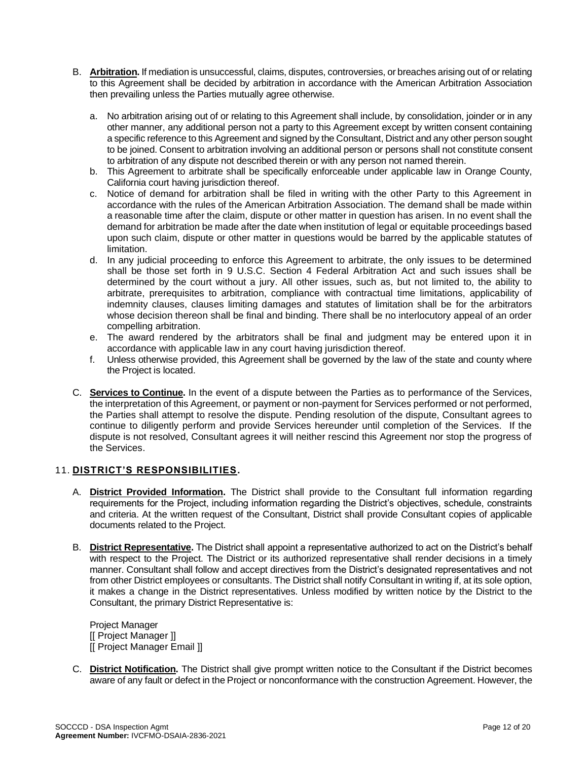- B. **Arbitration.**If mediation is unsuccessful, claims, disputes, controversies, or breaches arising out of or relating to this Agreement shall be decided by arbitration in accordance with the American Arbitration Association then prevailing unless the Parties mutually agree otherwise.
	- a. No arbitration arising out of or relating to this Agreement shall include, by consolidation, joinder or in any other manner, any additional person not a party to this Agreement except by written consent containing a specific reference to this Agreement and signed by the Consultant, District and any other person sought to be joined. Consent to arbitration involving an additional person or persons shall not constitute consent to arbitration of any dispute not described therein or with any person not named therein.
	- b. This Agreement to arbitrate shall be specifically enforceable under applicable law in Orange County, California court having jurisdiction thereof.
	- c. Notice of demand for arbitration shall be filed in writing with the other Party to this Agreement in accordance with the rules of the American Arbitration Association. The demand shall be made within a reasonable time after the claim, dispute or other matter in question has arisen. In no event shall the demand for arbitration be made after the date when institution of legal or equitable proceedings based upon such claim, dispute or other matter in questions would be barred by the applicable statutes of limitation.
	- d. In any judicial proceeding to enforce this Agreement to arbitrate, the only issues to be determined shall be those set forth in 9 U.S.C. Section 4 Federal Arbitration Act and such issues shall be determined by the court without a jury. All other issues, such as, but not limited to, the ability to arbitrate, prerequisites to arbitration, compliance with contractual time limitations, applicability of indemnity clauses, clauses limiting damages and statutes of limitation shall be for the arbitrators whose decision thereon shall be final and binding. There shall be no interlocutory appeal of an order compelling arbitration.
	- e. The award rendered by the arbitrators shall be final and judgment may be entered upon it in accordance with applicable law in any court having jurisdiction thereof.
	- f. Unless otherwise provided, this Agreement shall be governed by the law of the state and county where the Project is located.
- C. **Services to Continue.** In the event of a dispute between the Parties as to performance of the Services, the interpretation of this Agreement, or payment or non-payment for Services performed or not performed, the Parties shall attempt to resolve the dispute. Pending resolution of the dispute, Consultant agrees to continue to diligently perform and provide Services hereunder until completion of the Services. If the dispute is not resolved, Consultant agrees it will neither rescind this Agreement nor stop the progress of the Services.

#### 11. **DISTRICT'S RESPONSIBILITIES.**

- A. **District Provided Information.** The District shall provide to the Consultant full information regarding requirements for the Project, including information regarding the District's objectives, schedule, constraints and criteria. At the written request of the Consultant, District shall provide Consultant copies of applicable documents related to the Project.
- B. **District Representative.** The District shall appoint a representative authorized to act on the District's behalf with respect to the Project. The District or its authorized representative shall render decisions in a timely manner. Consultant shall follow and accept directives from the District's designated representatives and not from other District employees or consultants. The District shall notify Consultant in writing if, at its sole option, it makes a change in the District representatives. Unless modified by written notice by the District to the Consultant, the primary District Representative is:

Project Manager [[ Project Manager ]] [[ Project Manager Email ]]

C. **District Notification.** The District shall give prompt written notice to the Consultant if the District becomes aware of any fault or defect in the Project or nonconformance with the construction Agreement. However, the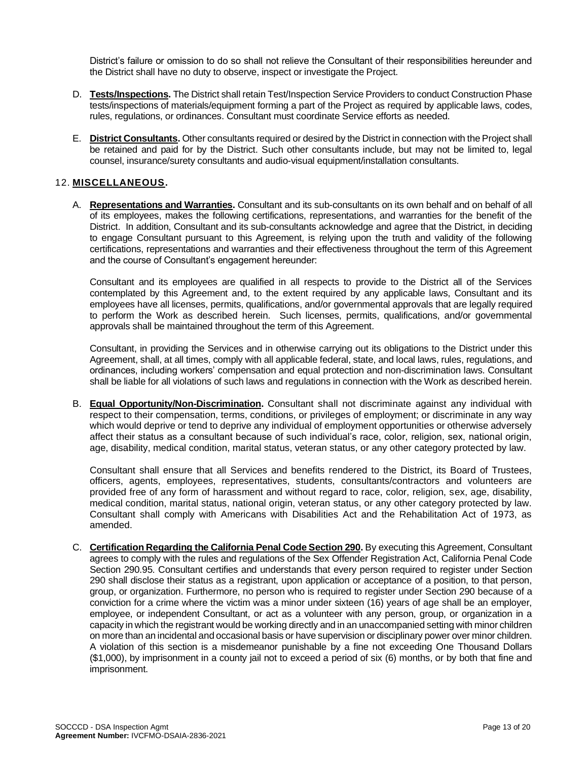District's failure or omission to do so shall not relieve the Consultant of their responsibilities hereunder and the District shall have no duty to observe, inspect or investigate the Project.

- D. **Tests/Inspections.** The District shall retain Test/Inspection Service Providers to conduct Construction Phase tests/inspections of materials/equipment forming a part of the Project as required by applicable laws, codes, rules, regulations, or ordinances. Consultant must coordinate Service efforts as needed.
- E. **District Consultants.** Other consultants required or desired by the District in connection with the Project shall be retained and paid for by the District. Such other consultants include, but may not be limited to, legal counsel, insurance/surety consultants and audio-visual equipment/installation consultants.

#### 12. **MISCELLANEOUS.**

A. **Representations and Warranties.** Consultant and its sub-consultants on its own behalf and on behalf of all of its employees, makes the following certifications, representations, and warranties for the benefit of the District. In addition, Consultant and its sub-consultants acknowledge and agree that the District, in deciding to engage Consultant pursuant to this Agreement, is relying upon the truth and validity of the following certifications, representations and warranties and their effectiveness throughout the term of this Agreement and the course of Consultant's engagement hereunder:

Consultant and its employees are qualified in all respects to provide to the District all of the Services contemplated by this Agreement and, to the extent required by any applicable laws, Consultant and its employees have all licenses, permits, qualifications, and/or governmental approvals that are legally required to perform the Work as described herein. Such licenses, permits, qualifications, and/or governmental approvals shall be maintained throughout the term of this Agreement.

Consultant, in providing the Services and in otherwise carrying out its obligations to the District under this Agreement, shall, at all times, comply with all applicable federal, state, and local laws, rules, regulations, and ordinances, including workers' compensation and equal protection and non-discrimination laws. Consultant shall be liable for all violations of such laws and regulations in connection with the Work as described herein.

B. **Equal Opportunity/Non-Discrimination.** Consultant shall not discriminate against any individual with respect to their compensation, terms, conditions, or privileges of employment; or discriminate in any way which would deprive or tend to deprive any individual of employment opportunities or otherwise adversely affect their status as a consultant because of such individual's race, color, religion, sex, national origin, age, disability, medical condition, marital status, veteran status, or any other category protected by law.

Consultant shall ensure that all Services and benefits rendered to the District, its Board of Trustees, officers, agents, employees, representatives, students, consultants/contractors and volunteers are provided free of any form of harassment and without regard to race, color, religion, sex, age, disability, medical condition, marital status, national origin, veteran status, or any other category protected by law. Consultant shall comply with Americans with Disabilities Act and the Rehabilitation Act of 1973, as amended.

C. **Certification Regarding the California Penal Code Section 290.** By executing this Agreement, Consultant agrees to comply with the rules and regulations of the Sex Offender Registration Act, California Penal Code Section 290.95. Consultant certifies and understands that every person required to register under Section 290 shall disclose their status as a registrant, upon application or acceptance of a position, to that person, group, or organization. Furthermore, no person who is required to register under Section 290 because of a conviction for a crime where the victim was a minor under sixteen (16) years of age shall be an employer, employee, or independent Consultant, or act as a volunteer with any person, group, or organization in a capacity in which the registrant would be working directly and in an unaccompanied setting with minor children on more than an incidental and occasional basis or have supervision or disciplinary power over minor children. A violation of this section is a misdemeanor punishable by a fine not exceeding One Thousand Dollars (\$1,000), by imprisonment in a county jail not to exceed a period of six (6) months, or by both that fine and imprisonment.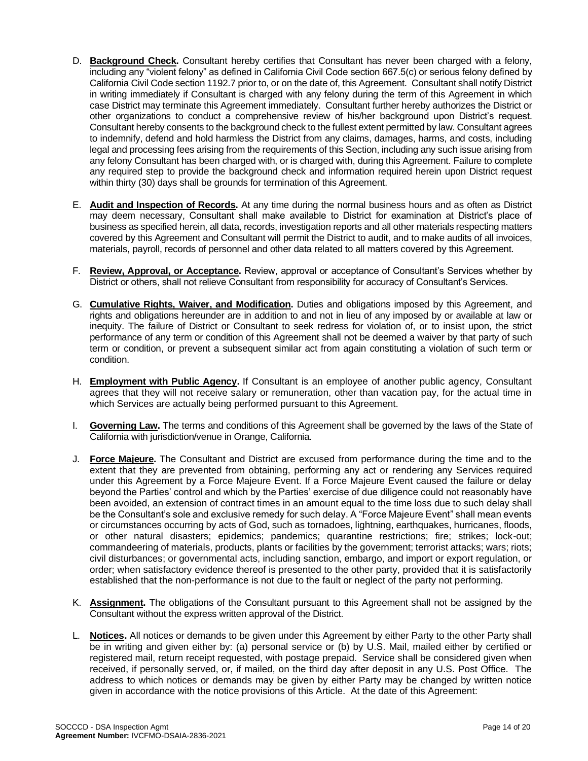- D. **Background Check.** Consultant hereby certifies that Consultant has never been charged with a felony, including any "violent felony" as defined in California Civil Code section 667.5(c) or serious felony defined by California Civil Code section 1192.7 prior to, or on the date of, this Agreement. Consultant shall notify District in writing immediately if Consultant is charged with any felony during the term of this Agreement in which case District may terminate this Agreement immediately. Consultant further hereby authorizes the District or other organizations to conduct a comprehensive review of his/her background upon District's request. Consultant hereby consents to the background check to the fullest extent permitted by law. Consultant agrees to indemnify, defend and hold harmless the District from any claims, damages, harms, and costs, including legal and processing fees arising from the requirements of this Section, including any such issue arising from any felony Consultant has been charged with, or is charged with, during this Agreement. Failure to complete any required step to provide the background check and information required herein upon District request within thirty (30) days shall be grounds for termination of this Agreement.
- E. **Audit and Inspection of Records.** At any time during the normal business hours and as often as District may deem necessary, Consultant shall make available to District for examination at District's place of business as specified herein, all data, records, investigation reports and all other materials respecting matters covered by this Agreement and Consultant will permit the District to audit, and to make audits of all invoices, materials, payroll, records of personnel and other data related to all matters covered by this Agreement.
- F. **Review, Approval, or Acceptance.** Review, approval or acceptance of Consultant's Services whether by District or others, shall not relieve Consultant from responsibility for accuracy of Consultant's Services.
- G. **Cumulative Rights, Waiver, and Modification.** Duties and obligations imposed by this Agreement, and rights and obligations hereunder are in addition to and not in lieu of any imposed by or available at law or inequity. The failure of District or Consultant to seek redress for violation of, or to insist upon, the strict performance of any term or condition of this Agreement shall not be deemed a waiver by that party of such term or condition, or prevent a subsequent similar act from again constituting a violation of such term or condition.
- H. **Employment with Public Agency.** If Consultant is an employee of another public agency, Consultant agrees that they will not receive salary or remuneration, other than vacation pay, for the actual time in which Services are actually being performed pursuant to this Agreement.
- I. **Governing Law.** The terms and conditions of this Agreement shall be governed by the laws of the State of California with jurisdiction/venue in Orange, California.
- J. **Force Majeure.** The Consultant and District are excused from performance during the time and to the extent that they are prevented from obtaining, performing any act or rendering any Services required under this Agreement by a Force Majeure Event. If a Force Majeure Event caused the failure or delay beyond the Parties' control and which by the Parties' exercise of due diligence could not reasonably have been avoided, an extension of contract times in an amount equal to the time loss due to such delay shall be the Consultant's sole and exclusive remedy for such delay. A "Force Majeure Event" shall mean events or circumstances occurring by acts of God, such as tornadoes, lightning, earthquakes, hurricanes, floods, or other natural disasters; epidemics; pandemics; quarantine restrictions; fire; strikes; lock-out; commandeering of materials, products, plants or facilities by the government; terrorist attacks; wars; riots; civil disturbances; or governmental acts, including sanction, embargo, and import or export regulation, or order; when satisfactory evidence thereof is presented to the other party, provided that it is satisfactorily established that the non-performance is not due to the fault or neglect of the party not performing.
- K. **Assignment.** The obligations of the Consultant pursuant to this Agreement shall not be assigned by the Consultant without the express written approval of the District.
- L. **Notices.** All notices or demands to be given under this Agreement by either Party to the other Party shall be in writing and given either by: (a) personal service or (b) by U.S. Mail, mailed either by certified or registered mail, return receipt requested, with postage prepaid. Service shall be considered given when received, if personally served, or, if mailed, on the third day after deposit in any U.S. Post Office. The address to which notices or demands may be given by either Party may be changed by written notice given in accordance with the notice provisions of this Article. At the date of this Agreement: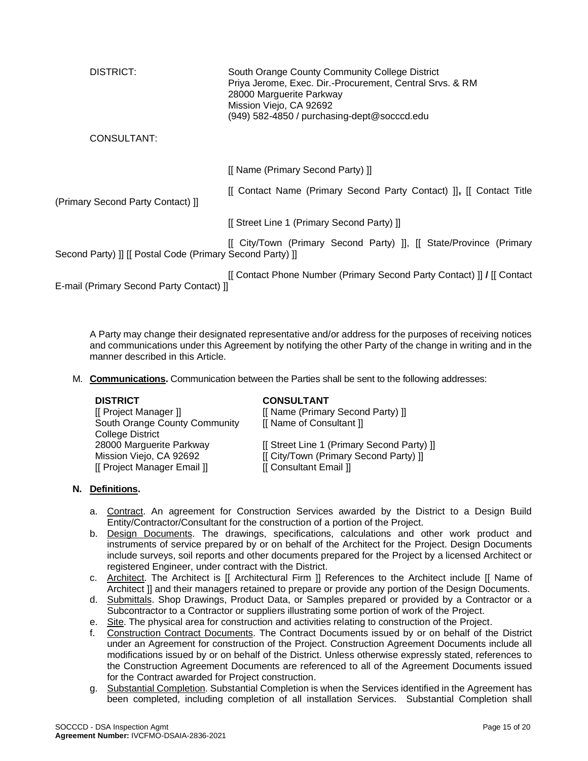| DISTRICT:                                                 | South Orange County Community College District<br>Priya Jerome, Exec. Dir.-Procurement, Central Srvs. & RM<br>28000 Marguerite Parkway<br>Mission Viejo, CA 92692<br>(949) 582-4850 / purchasing-dept@socccd.edu |
|-----------------------------------------------------------|------------------------------------------------------------------------------------------------------------------------------------------------------------------------------------------------------------------|
| CONSULTANT:                                               |                                                                                                                                                                                                                  |
|                                                           | [[ Name (Primary Second Party) ]]                                                                                                                                                                                |
| (Primary Second Party Contact) II                         | [[ Contact Name (Primary Second Party Contact) ]], [[ Contact Title                                                                                                                                              |
|                                                           | [[ Street Line 1 (Primary Second Party) ]]                                                                                                                                                                       |
| Second Party) ]] [[ Postal Code (Primary Second Party) ]] | [[ City/Town (Primary Second Party) ]], [[ State/Province (Primary                                                                                                                                               |
| E-mail (Primary Second Party Contact) ]]                  | [[ Contact Phone Number (Primary Second Party Contact) ]] / [[ Contact                                                                                                                                           |

A Party may change their designated representative and/or address for the purposes of receiving notices and communications under this Agreement by notifying the other Party of the change in writing and in the manner described in this Article.

M. **Communications.** Communication between the Parties shall be sent to the following addresses:

[[ Project Manager ]] [[ Name (Primary Second Party) ]] South Orange County Community College District [[ Project Manager Email ]]

#### **DISTRICT CONSULTANT**

[[ Name of Consultant ]]

28000 Marguerite Parkway [[ Street Line 1 (Primary Second Party) ]] Mission Viejo, CA 92692 [[ City/Town (Primary Second Party) ]]<br>
[[ Project Manager Email ]] [[ Consultant Email ]]

#### **N. Definitions.**

- a. Contract. An agreement for Construction Services awarded by the District to a Design Build Entity/Contractor/Consultant for the construction of a portion of the Project.
- b. Design Documents. The drawings, specifications, calculations and other work product and instruments of service prepared by or on behalf of the Architect for the Project. Design Documents include surveys, soil reports and other documents prepared for the Project by a licensed Architect or registered Engineer, under contract with the District.
- c. Architect. The Architect is [[ Architectural Firm ]] References to the Architect include [[ Name of Architect ]] and their managers retained to prepare or provide any portion of the Design Documents.
- d. Submittals. Shop Drawings, Product Data, or Samples prepared or provided by a Contractor or a Subcontractor to a Contractor or suppliers illustrating some portion of work of the Project.
- e. Site. The physical area for construction and activities relating to construction of the Project.<br>f. Construction Contract Documents. The Contract Documents issued by or on behalf of the
- f. Construction Contract Documents. The Contract Documents issued by or on behalf of the District under an Agreement for construction of the Project. Construction Agreement Documents include all modifications issued by or on behalf of the District. Unless otherwise expressly stated, references to the Construction Agreement Documents are referenced to all of the Agreement Documents issued for the Contract awarded for Project construction.
- g. Substantial Completion. Substantial Completion is when the Services identified in the Agreement has been completed, including completion of all installation Services. Substantial Completion shall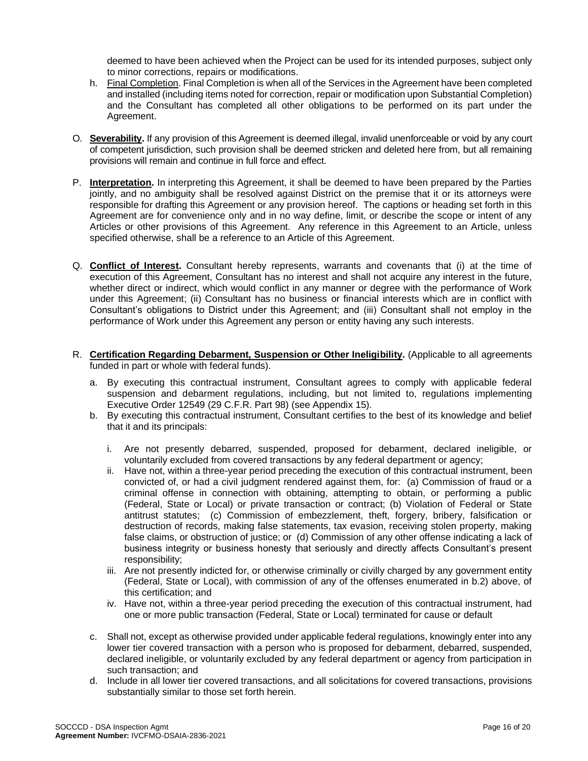deemed to have been achieved when the Project can be used for its intended purposes, subject only to minor corrections, repairs or modifications.

- h. Final Completion. Final Completion is when all of the Services in the Agreement have been completed and installed (including items noted for correction, repair or modification upon Substantial Completion) and the Consultant has completed all other obligations to be performed on its part under the Agreement.
- O. **Severability.** If any provision of this Agreement is deemed illegal, invalid unenforceable or void by any court of competent jurisdiction, such provision shall be deemed stricken and deleted here from, but all remaining provisions will remain and continue in full force and effect.
- P. **Interpretation.** In interpreting this Agreement, it shall be deemed to have been prepared by the Parties jointly, and no ambiguity shall be resolved against District on the premise that it or its attorneys were responsible for drafting this Agreement or any provision hereof. The captions or heading set forth in this Agreement are for convenience only and in no way define, limit, or describe the scope or intent of any Articles or other provisions of this Agreement. Any reference in this Agreement to an Article, unless specified otherwise, shall be a reference to an Article of this Agreement.
- Q. **Conflict of Interest.** Consultant hereby represents, warrants and covenants that (i) at the time of execution of this Agreement, Consultant has no interest and shall not acquire any interest in the future, whether direct or indirect, which would conflict in any manner or degree with the performance of Work under this Agreement; (ii) Consultant has no business or financial interests which are in conflict with Consultant's obligations to District under this Agreement; and (iii) Consultant shall not employ in the performance of Work under this Agreement any person or entity having any such interests.
- R. **Certification Regarding Debarment, Suspension or Other Ineligibility.** (Applicable to all agreements funded in part or whole with federal funds).
	- a. By executing this contractual instrument, Consultant agrees to comply with applicable federal suspension and debarment regulations, including, but not limited to, regulations implementing Executive Order 12549 (29 C.F.R. Part 98) (see Appendix 15).
	- b. By executing this contractual instrument, Consultant certifies to the best of its knowledge and belief that it and its principals:
		- i. Are not presently debarred, suspended, proposed for debarment, declared ineligible, or voluntarily excluded from covered transactions by any federal department or agency;
		- ii. Have not, within a three-year period preceding the execution of this contractual instrument, been convicted of, or had a civil judgment rendered against them, for: (a) Commission of fraud or a criminal offense in connection with obtaining, attempting to obtain, or performing a public (Federal, State or Local) or private transaction or contract; (b) Violation of Federal or State antitrust statutes; (c) Commission of embezzlement, theft, forgery, bribery, falsification or destruction of records, making false statements, tax evasion, receiving stolen property, making false claims, or obstruction of justice; or (d) Commission of any other offense indicating a lack of business integrity or business honesty that seriously and directly affects Consultant's present responsibility;
		- iii. Are not presently indicted for, or otherwise criminally or civilly charged by any government entity (Federal, State or Local), with commission of any of the offenses enumerated in b.2) above, of this certification; and
		- iv. Have not, within a three-year period preceding the execution of this contractual instrument, had one or more public transaction (Federal, State or Local) terminated for cause or default
	- c. Shall not, except as otherwise provided under applicable federal regulations, knowingly enter into any lower tier covered transaction with a person who is proposed for debarment, debarred, suspended, declared ineligible, or voluntarily excluded by any federal department or agency from participation in such transaction; and
	- d. Include in all lower tier covered transactions, and all solicitations for covered transactions, provisions substantially similar to those set forth herein.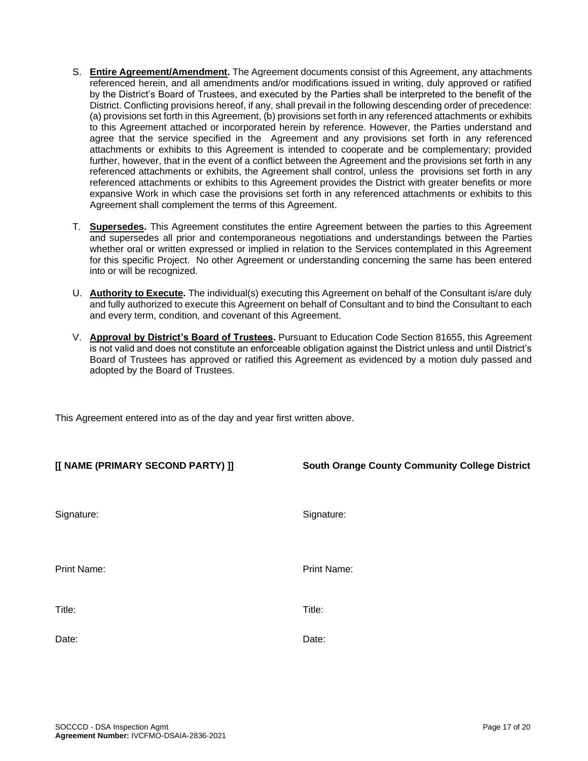- S. **Entire Agreement/Amendment.** The Agreement documents consist of this Agreement, any attachments referenced herein, and all amendments and/or modifications issued in writing, duly approved or ratified by the District's Board of Trustees, and executed by the Parties shall be interpreted to the benefit of the District. Conflicting provisions hereof, if any, shall prevail in the following descending order of precedence: (a) provisions set forth in this Agreement, (b) provisions set forth in any referenced attachments or exhibits to this Agreement attached or incorporated herein by reference. However, the Parties understand and agree that the service specified in the Agreement and any provisions set forth in any referenced attachments or exhibits to this Agreement is intended to cooperate and be complementary; provided further, however, that in the event of a conflict between the Agreement and the provisions set forth in any referenced attachments or exhibits, the Agreement shall control, unless the provisions set forth in any referenced attachments or exhibits to this Agreement provides the District with greater benefits or more expansive Work in which case the provisions set forth in any referenced attachments or exhibits to this Agreement shall complement the terms of this Agreement.
- T. **Supersedes.** This Agreement constitutes the entire Agreement between the parties to this Agreement and supersedes all prior and contemporaneous negotiations and understandings between the Parties whether oral or written expressed or implied in relation to the Services contemplated in this Agreement for this specific Project. No other Agreement or understanding concerning the same has been entered into or will be recognized.
- U. **Authority to Execute.** The individual(s) executing this Agreement on behalf of the Consultant is/are duly and fully authorized to execute this Agreement on behalf of Consultant and to bind the Consultant to each and every term, condition, and covenant of this Agreement.
- V. **Approval by District's Board of Trustees.** Pursuant to Education Code Section 81655, this Agreement is not valid and does not constitute an enforceable obligation against the District unless and until District's Board of Trustees has approved or ratified this Agreement as evidenced by a motion duly passed and adopted by the Board of Trustees.

This Agreement entered into as of the day and year first written above.

| [[ NAME (PRIMARY SECOND PARTY) ]] | <b>South Orange County Community College District</b> |
|-----------------------------------|-------------------------------------------------------|
| Signature:                        | Signature:                                            |
| <b>Print Name:</b>                | <b>Print Name:</b>                                    |
| Title:                            | Title:                                                |
| Date:                             | Date:                                                 |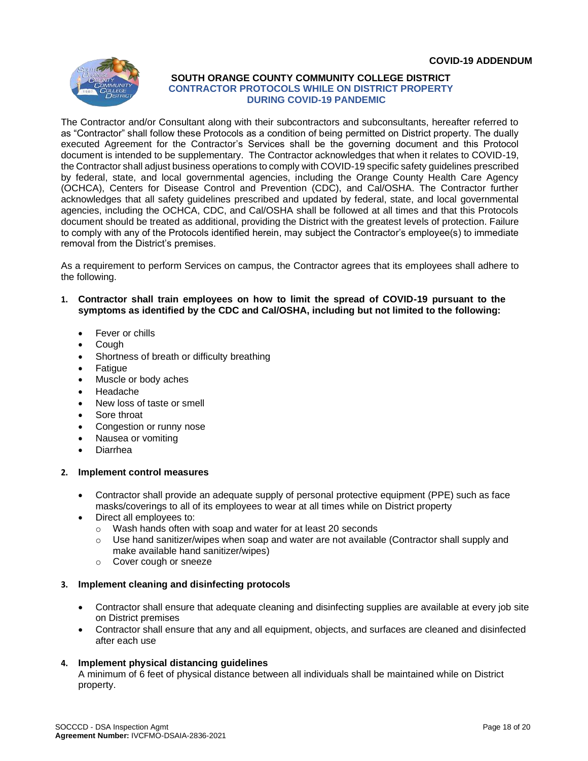

#### **SOUTH ORANGE COUNTY COMMUNITY COLLEGE DISTRICT CONTRACTOR PROTOCOLS WHILE ON DISTRICT PROPERTY DURING COVID-19 PANDEMIC**

The Contractor and/or Consultant along with their subcontractors and subconsultants, hereafter referred to as "Contractor" shall follow these Protocols as a condition of being permitted on District property. The dually executed Agreement for the Contractor's Services shall be the governing document and this Protocol document is intended to be supplementary. The Contractor acknowledges that when it relates to COVID-19, the Contractor shall adjust business operations to comply with COVID-19 specific safety guidelines prescribed by federal, state, and local governmental agencies, including the Orange County Health Care Agency (OCHCA), Centers for Disease Control and Prevention (CDC), and Cal/OSHA. The Contractor further acknowledges that all safety guidelines prescribed and updated by federal, state, and local governmental agencies, including the OCHCA, CDC, and Cal/OSHA shall be followed at all times and that this Protocols document should be treated as additional, providing the District with the greatest levels of protection. Failure to comply with any of the Protocols identified herein, may subject the Contractor's employee(s) to immediate removal from the District's premises.

As a requirement to perform Services on campus, the Contractor agrees that its employees shall adhere to the following.

- **1. Contractor shall train employees on how to limit the spread of COVID-19 pursuant to the symptoms as identified by the CDC and Cal/OSHA, including but not limited to the following:**
	- Fever or chills
	- Cough
	- Shortness of breath or difficulty breathing
	- **Fatigue**
	- Muscle or body aches
	- Headache
	- New loss of taste or smell
	- Sore throat
	- Congestion or runny nose
	- Nausea or vomiting
	- Diarrhea

#### **2. Implement control measures**

- Contractor shall provide an adequate supply of personal protective equipment (PPE) such as face masks/coverings to all of its employees to wear at all times while on District property
- Direct all employees to:
	- o Wash hands often with soap and water for at least 20 seconds
	- $\circ$  Use hand sanitizer/wipes when soap and water are not available (Contractor shall supply and make available hand sanitizer/wipes)
	- o Cover cough or sneeze

#### **3. Implement cleaning and disinfecting protocols**

- Contractor shall ensure that adequate cleaning and disinfecting supplies are available at every job site on District premises
- Contractor shall ensure that any and all equipment, objects, and surfaces are cleaned and disinfected after each use

#### **4. Implement physical distancing guidelines**

A minimum of 6 feet of physical distance between all individuals shall be maintained while on District property.